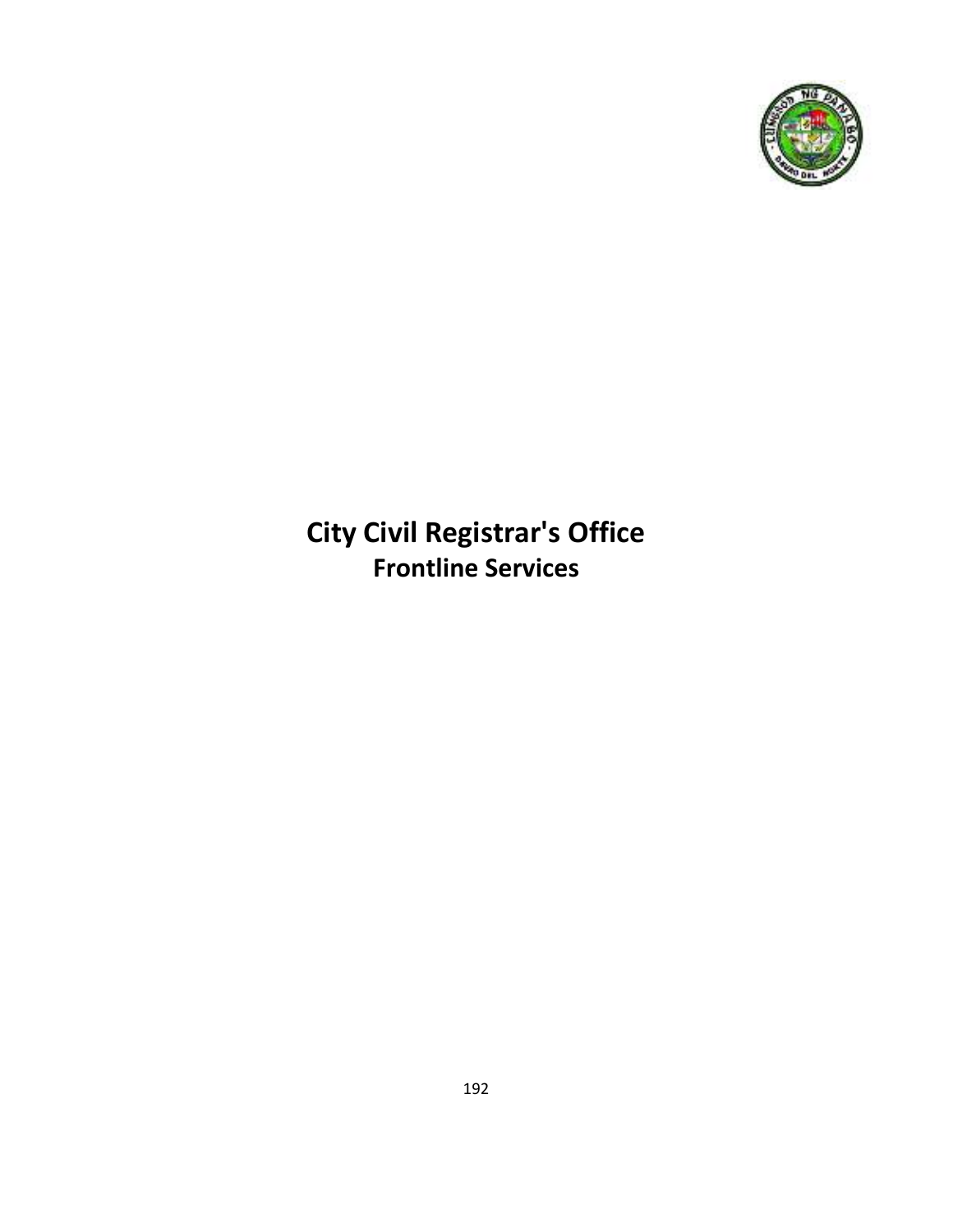

# **City Civil Registrar's Office Frontline Services**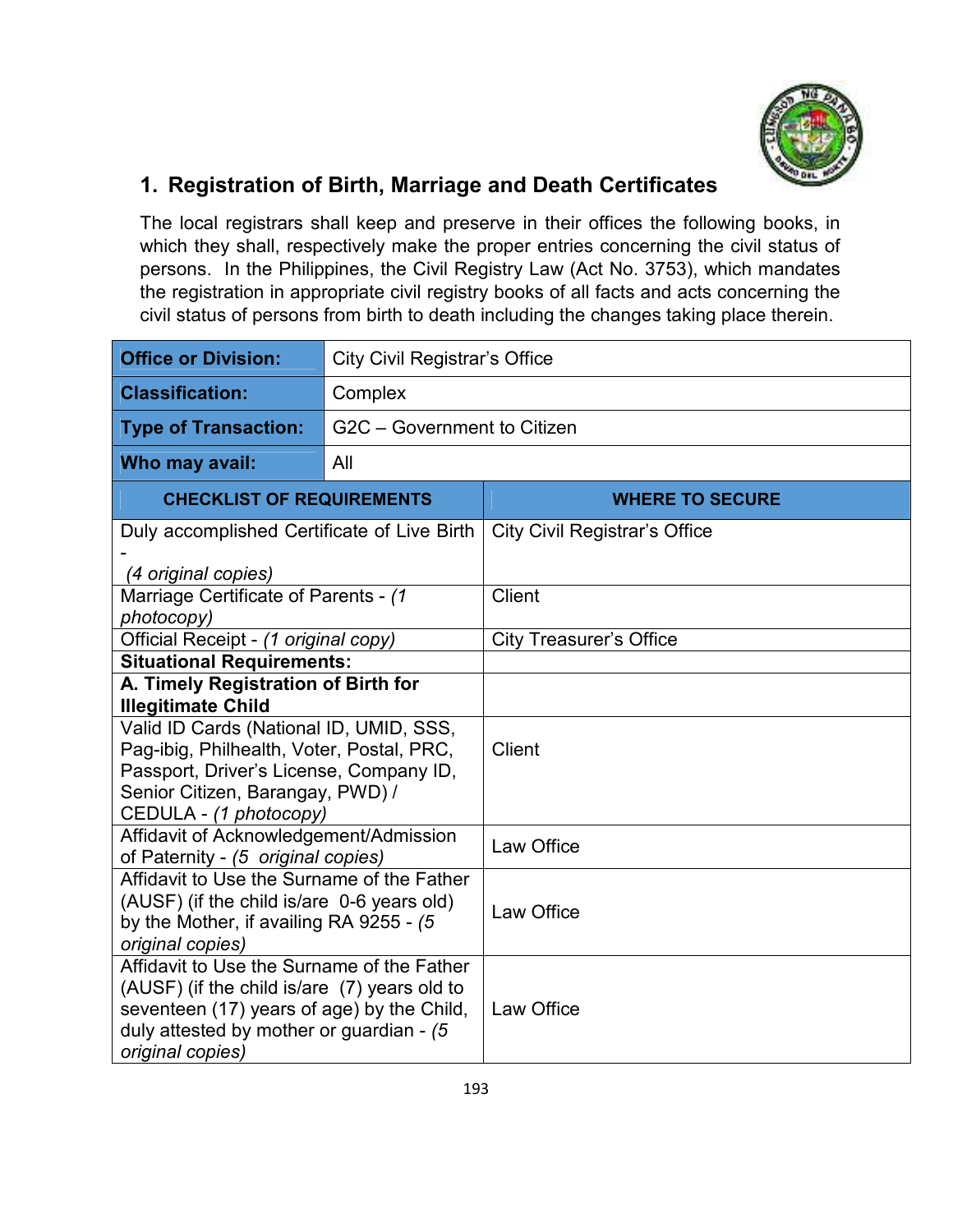

#### **1. Registration of Birth, Marriage and Death Certificates**

The local registrars shall keep and preserve in their offices the following books, in which they shall, respectively make the proper entries concerning the civil status of persons. In the Philippines, the Civil Registry Law (Act No. 3753), which mandates the registration in appropriate civil registry books of all facts and acts concerning the civil status of persons from birth to death including the changes taking place therein.

| <b>Office or Division:</b>                                                   | <b>City Civil Registrar's Office</b> |                                      |  |  |
|------------------------------------------------------------------------------|--------------------------------------|--------------------------------------|--|--|
| <b>Classification:</b>                                                       | Complex                              |                                      |  |  |
| <b>Type of Transaction:</b>                                                  | G2C - Government to Citizen          |                                      |  |  |
| Who may avail:                                                               | All                                  |                                      |  |  |
| <b>CHECKLIST OF REQUIREMENTS</b>                                             |                                      | <b>WHERE TO SECURE</b>               |  |  |
| Duly accomplished Certificate of Live Birth                                  |                                      | <b>City Civil Registrar's Office</b> |  |  |
| (4 original copies)                                                          |                                      |                                      |  |  |
| Marriage Certificate of Parents - (1                                         |                                      | <b>Client</b>                        |  |  |
| photocopy)<br>Official Receipt - (1 original copy)                           |                                      | <b>City Treasurer's Office</b>       |  |  |
| <b>Situational Requirements:</b>                                             |                                      |                                      |  |  |
| A. Timely Registration of Birth for                                          |                                      |                                      |  |  |
| <b>Illegitimate Child</b><br>Valid ID Cards (National ID, UMID, SSS,         |                                      |                                      |  |  |
| Pag-ibig, Philhealth, Voter, Postal, PRC,                                    |                                      | Client                               |  |  |
| Passport, Driver's License, Company ID,                                      |                                      |                                      |  |  |
| Senior Citizen, Barangay, PWD) /                                             |                                      |                                      |  |  |
| CEDULA - (1 photocopy)                                                       |                                      |                                      |  |  |
| Affidavit of Acknowledgement/Admission<br>of Paternity - (5 original copies) |                                      | Law Office                           |  |  |
| Affidavit to Use the Surname of the Father                                   |                                      |                                      |  |  |
| (AUSF) (if the child is/are 0-6 years old)                                   |                                      | Law Office                           |  |  |
| by the Mother, if availing RA 9255 - (5<br>original copies)                  |                                      |                                      |  |  |
| Affidavit to Use the Surname of the Father                                   |                                      |                                      |  |  |
| (AUSF) (if the child is/are (7) years old to                                 |                                      |                                      |  |  |
| seventeen (17) years of age) by the Child,                                   |                                      | Law Office                           |  |  |
| duly attested by mother or guardian - (5                                     |                                      |                                      |  |  |
| original copies)                                                             |                                      |                                      |  |  |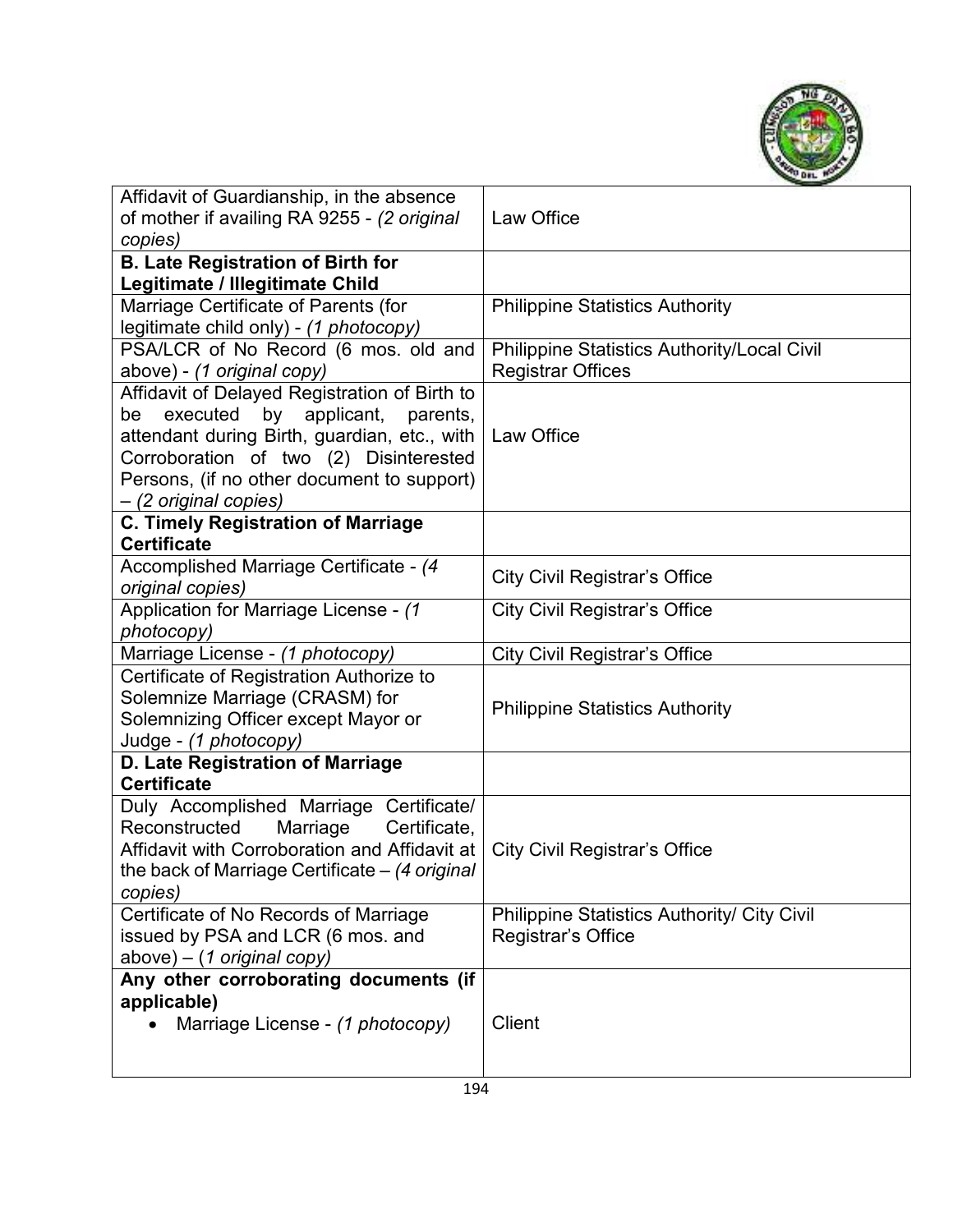

| Affidavit of Guardianship, in the absence<br>of mother if availing RA 9255 - (2 original<br>copies)                                                                                                  | Law Office                                         |
|------------------------------------------------------------------------------------------------------------------------------------------------------------------------------------------------------|----------------------------------------------------|
| <b>B. Late Registration of Birth for</b>                                                                                                                                                             |                                                    |
| Legitimate / Illegitimate Child                                                                                                                                                                      |                                                    |
| Marriage Certificate of Parents (for<br>legitimate child only) - (1 photocopy)                                                                                                                       | <b>Philippine Statistics Authority</b>             |
| PSA/LCR of No Record (6 mos. old and                                                                                                                                                                 | <b>Philippine Statistics Authority/Local Civil</b> |
| above) - (1 original copy)                                                                                                                                                                           | <b>Registrar Offices</b>                           |
| Affidavit of Delayed Registration of Birth to                                                                                                                                                        |                                                    |
| applicant,<br>executed<br>by<br>parents,<br>be                                                                                                                                                       |                                                    |
| attendant during Birth, guardian, etc., with                                                                                                                                                         | Law Office                                         |
| Corroboration of two (2) Disinterested                                                                                                                                                               |                                                    |
| Persons, (if no other document to support)                                                                                                                                                           |                                                    |
| - (2 original copies)                                                                                                                                                                                |                                                    |
| <b>C. Timely Registration of Marriage</b>                                                                                                                                                            |                                                    |
| <b>Certificate</b>                                                                                                                                                                                   |                                                    |
| Accomplished Marriage Certificate - (4                                                                                                                                                               |                                                    |
| original copies)                                                                                                                                                                                     | <b>City Civil Registrar's Office</b>               |
| Application for Marriage License - (1                                                                                                                                                                | <b>City Civil Registrar's Office</b>               |
| photocopy)                                                                                                                                                                                           |                                                    |
| Marriage License - (1 photocopy)                                                                                                                                                                     | <b>City Civil Registrar's Office</b>               |
| Certificate of Registration Authorize to<br>Solemnize Marriage (CRASM) for<br>Solemnizing Officer except Mayor or<br>Judge - (1 photocopy)                                                           | <b>Philippine Statistics Authority</b>             |
| D. Late Registration of Marriage                                                                                                                                                                     |                                                    |
| <b>Certificate</b>                                                                                                                                                                                   |                                                    |
| Duly Accomplished Marriage Certificate/<br>Reconstructed<br>Marriage<br>Certificate,<br>Affidavit with Corroboration and Affidavit at<br>the back of Marriage Certificate $-$ (4 original<br>copies) | <b>City Civil Registrar's Office</b>               |
| Certificate of No Records of Marriage                                                                                                                                                                | <b>Philippine Statistics Authority/ City Civil</b> |
| issued by PSA and LCR (6 mos. and                                                                                                                                                                    | Registrar's Office                                 |
| $above$ ) – (1 original copy)                                                                                                                                                                        |                                                    |
| Any other corroborating documents (if                                                                                                                                                                |                                                    |
| applicable)                                                                                                                                                                                          |                                                    |
| Marriage License - (1 photocopy)                                                                                                                                                                     | <b>Client</b>                                      |
|                                                                                                                                                                                                      |                                                    |
|                                                                                                                                                                                                      |                                                    |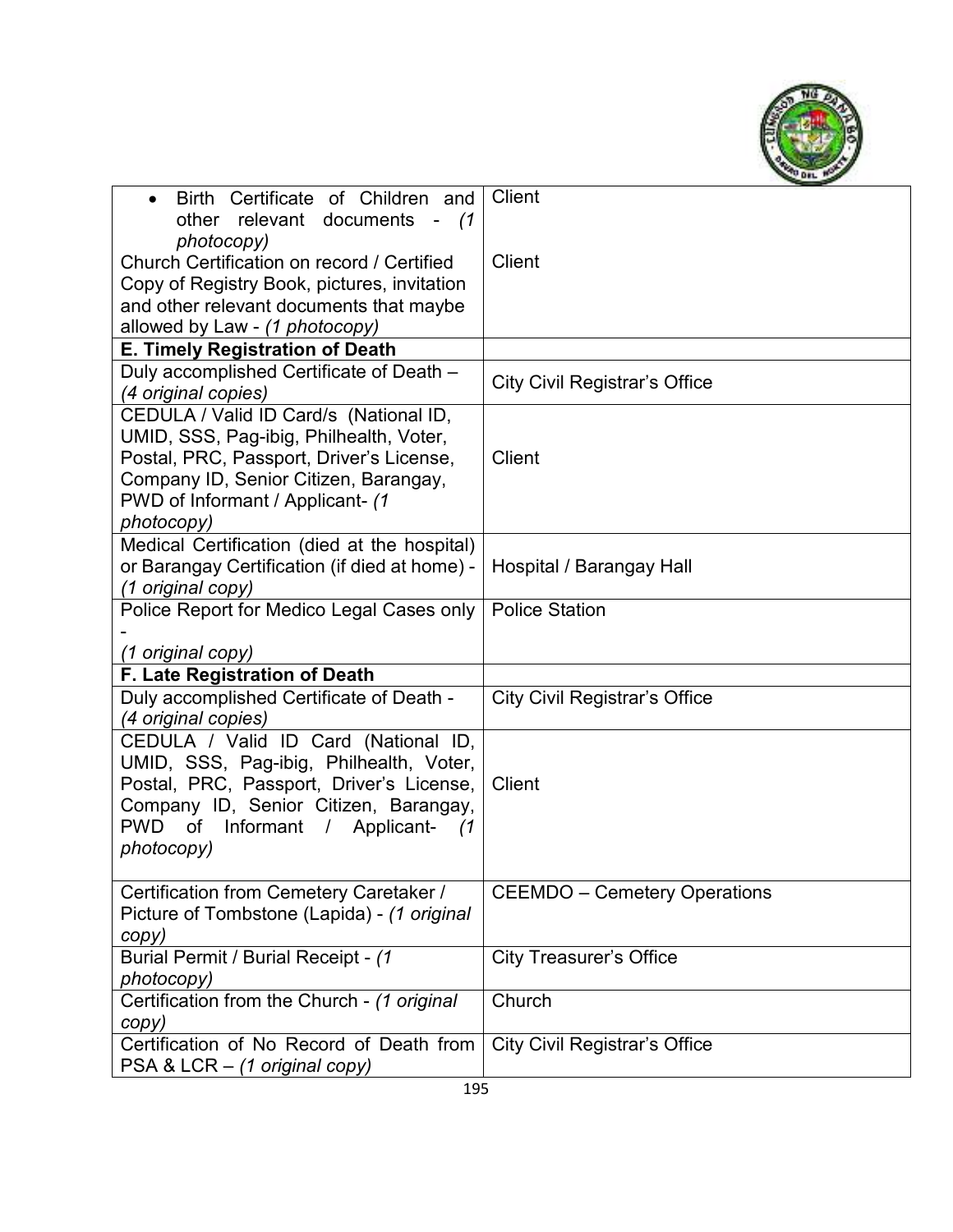

| Birth Certificate of Children and<br>$\bullet$                            | <b>Client</b>                        |
|---------------------------------------------------------------------------|--------------------------------------|
| other relevant documents - (1                                             |                                      |
| photocopy)                                                                |                                      |
| Church Certification on record / Certified                                | Client                               |
| Copy of Registry Book, pictures, invitation                               |                                      |
| and other relevant documents that maybe                                   |                                      |
| allowed by Law - (1 photocopy)                                            |                                      |
| E. Timely Registration of Death                                           |                                      |
| Duly accomplished Certificate of Death -                                  | <b>City Civil Registrar's Office</b> |
| (4 original copies)                                                       |                                      |
| CEDULA / Valid ID Card/s (National ID,                                    |                                      |
| UMID, SSS, Pag-ibig, Philhealth, Voter,                                   |                                      |
| Postal, PRC, Passport, Driver's License,                                  | <b>Client</b>                        |
| Company ID, Senior Citizen, Barangay,                                     |                                      |
| PWD of Informant / Applicant- (1                                          |                                      |
| photocopy)                                                                |                                      |
| Medical Certification (died at the hospital)                              |                                      |
| or Barangay Certification (if died at home) -                             | Hospital / Barangay Hall             |
| (1 original copy)                                                         |                                      |
| Police Report for Medico Legal Cases only                                 | <b>Police Station</b>                |
|                                                                           |                                      |
|                                                                           |                                      |
| (1 original copy)                                                         |                                      |
| F. Late Registration of Death                                             |                                      |
| Duly accomplished Certificate of Death -                                  | <b>City Civil Registrar's Office</b> |
| (4 original copies)                                                       |                                      |
| CEDULA / Valid ID Card (National ID,                                      |                                      |
| UMID, SSS, Pag-ibig, Philhealth, Voter,                                   |                                      |
| Postal, PRC, Passport, Driver's License,                                  | <b>Client</b>                        |
| Company ID, Senior Citizen, Barangay,                                     |                                      |
| <b>PWD</b><br>of<br>Informant<br>/ Applicant-<br>(1)                      |                                      |
| photocopy)                                                                |                                      |
|                                                                           |                                      |
| Certification from Cemetery Caretaker /                                   | <b>CEEMDO</b> – Cemetery Operations  |
| Picture of Tombstone (Lapida) - (1 original                               |                                      |
| copy)                                                                     |                                      |
| Burial Permit / Burial Receipt - (1                                       | <b>City Treasurer's Office</b>       |
| photocopy)                                                                |                                      |
| Certification from the Church - (1 original                               | Church                               |
| copy)                                                                     |                                      |
| Certification of No Record of Death from<br>PSA & LCR - (1 original copy) | <b>City Civil Registrar's Office</b> |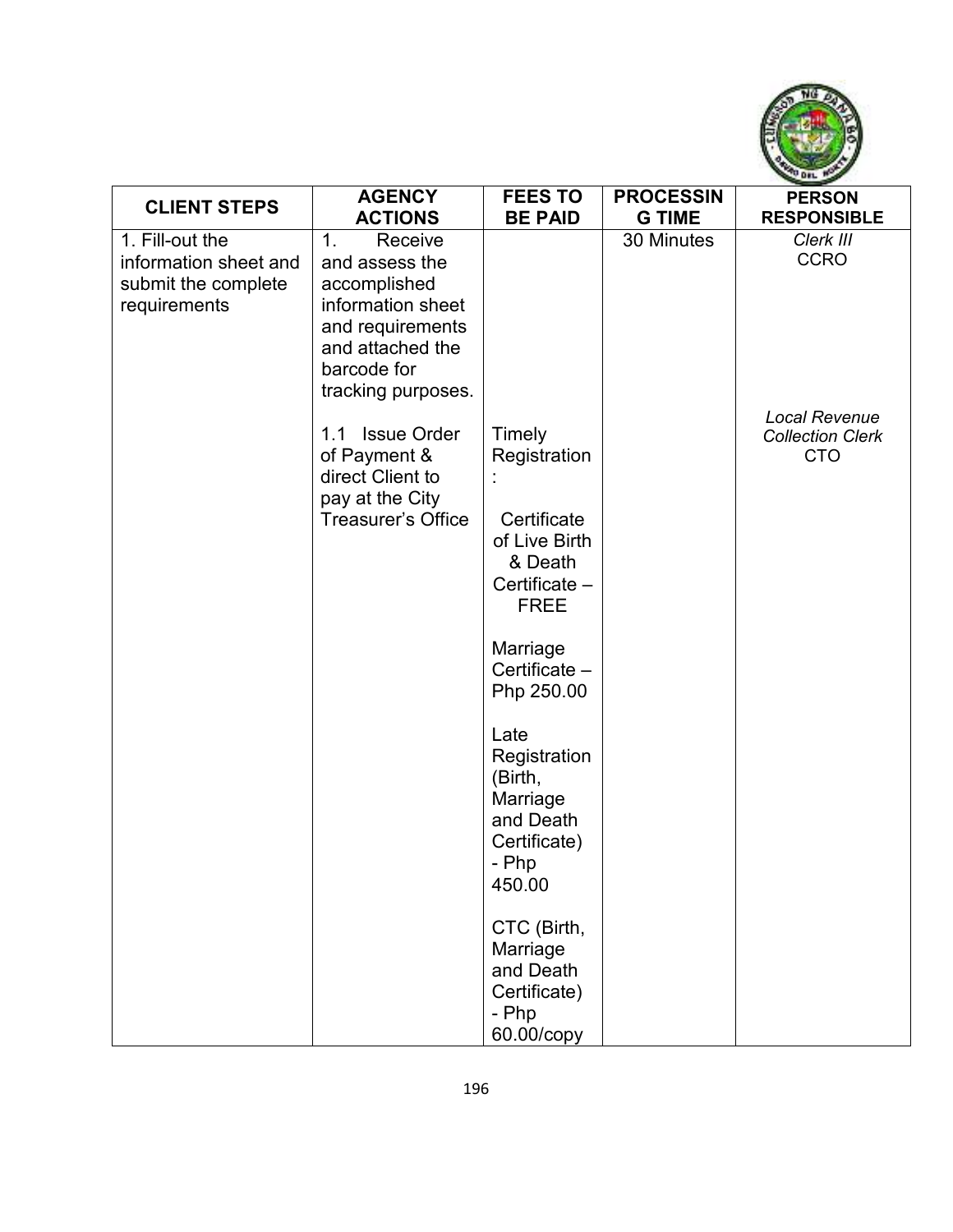

| <b>CLIENT STEPS</b>                                                             | <b>AGENCY</b>                                                                                                                                                 | <b>FEES TO</b>                                                                                                                                                                                                                                                                                                             | <b>PROCESSIN</b> | <b>PERSON</b>                                          |
|---------------------------------------------------------------------------------|---------------------------------------------------------------------------------------------------------------------------------------------------------------|----------------------------------------------------------------------------------------------------------------------------------------------------------------------------------------------------------------------------------------------------------------------------------------------------------------------------|------------------|--------------------------------------------------------|
|                                                                                 | <b>ACTIONS</b>                                                                                                                                                | <b>BE PAID</b>                                                                                                                                                                                                                                                                                                             | <b>G TIME</b>    | <b>RESPONSIBLE</b>                                     |
| 1. Fill-out the<br>information sheet and<br>submit the complete<br>requirements | Receive<br>1 <sub>1</sub><br>and assess the<br>accomplished<br>information sheet<br>and requirements<br>and attached the<br>barcode for<br>tracking purposes. |                                                                                                                                                                                                                                                                                                                            | 30 Minutes       | Clerk III<br><b>CCRO</b>                               |
|                                                                                 | <b>Issue Order</b><br>1.1<br>of Payment &<br>direct Client to<br>pay at the City<br><b>Treasurer's Office</b>                                                 | Timely<br>Registration<br>Certificate<br>of Live Birth<br>& Death<br>Certificate -<br><b>FREE</b><br>Marriage<br>Certificate -<br>Php 250.00<br>Late<br>Registration<br>(Birth,<br>Marriage<br>and Death<br>Certificate)<br>- Php<br>450.00<br>CTC (Birth,<br>Marriage<br>and Death<br>Certificate)<br>- Php<br>60.00/copy |                  | Local Revenue<br><b>Collection Clerk</b><br><b>CTO</b> |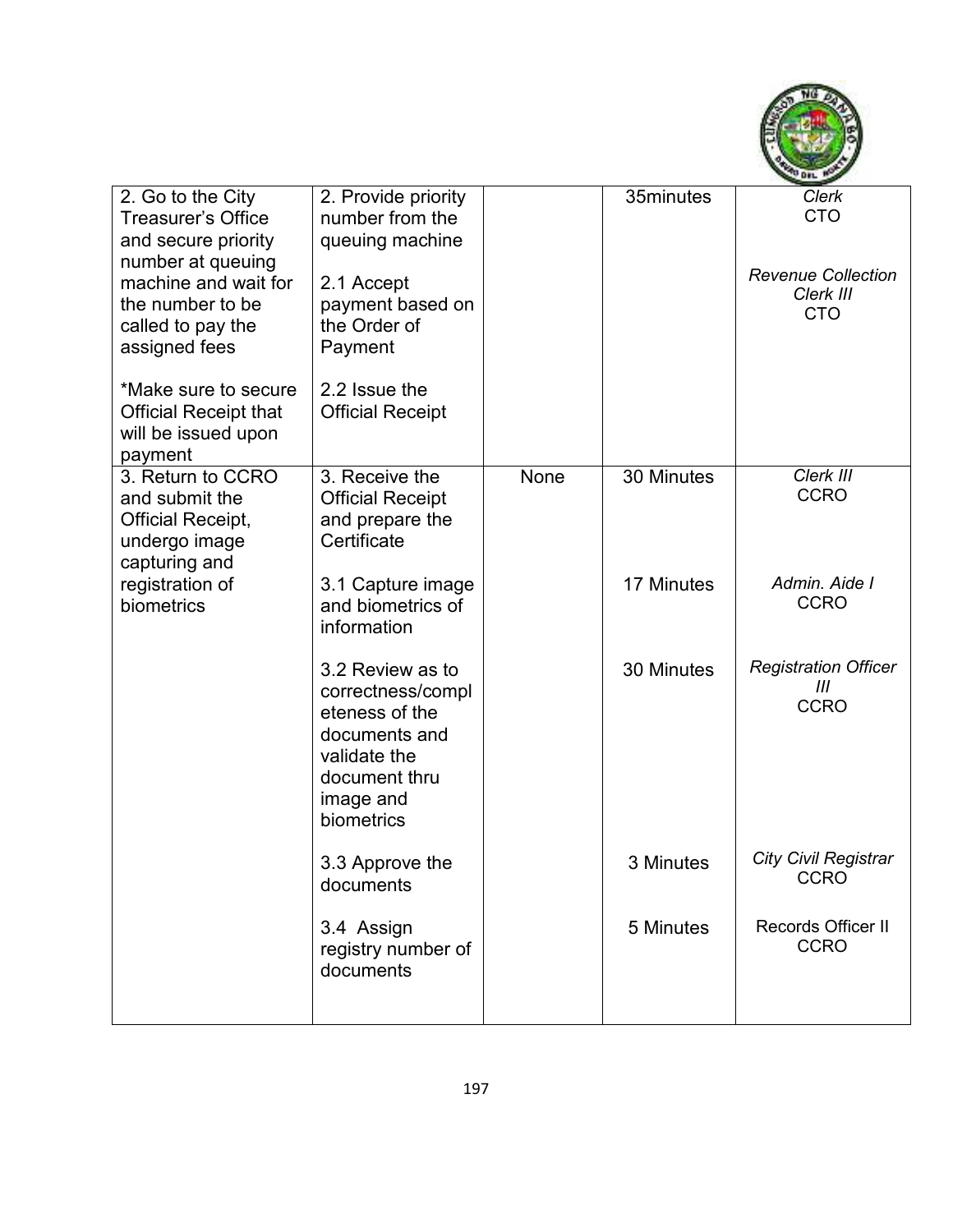

| 2. Go to the City<br>Treasurer's Office<br>and secure priority<br>number at queuing<br>machine and wait for<br>the number to be<br>called to pay the<br>assigned fees<br>*Make sure to secure | 2. Provide priority<br>number from the<br>queuing machine<br>2.1 Accept<br>payment based on<br>the Order of<br>Payment<br>2.2 Issue the |      | 35minutes  | <b>Clerk</b><br><b>CTO</b><br><b>Revenue Collection</b><br>Clerk III<br><b>CTO</b> |
|-----------------------------------------------------------------------------------------------------------------------------------------------------------------------------------------------|-----------------------------------------------------------------------------------------------------------------------------------------|------|------------|------------------------------------------------------------------------------------|
| <b>Official Receipt that</b><br>will be issued upon<br>payment                                                                                                                                | <b>Official Receipt</b>                                                                                                                 |      |            |                                                                                    |
| 3. Return to CCRO<br>and submit the<br><b>Official Receipt,</b><br>undergo image<br>capturing and                                                                                             | 3. Receive the<br><b>Official Receipt</b><br>and prepare the<br>Certificate                                                             | None | 30 Minutes | Clerk III<br><b>CCRO</b>                                                           |
| registration of<br>biometrics                                                                                                                                                                 | 3.1 Capture image<br>and biometrics of<br>information                                                                                   |      | 17 Minutes | Admin. Aide I<br><b>CCRO</b>                                                       |
|                                                                                                                                                                                               | 3.2 Review as to<br>correctness/compl<br>eteness of the<br>documents and<br>validate the<br>document thru<br>image and<br>biometrics    |      | 30 Minutes | <b>Registration Officer</b><br>Ш<br><b>CCRO</b>                                    |
|                                                                                                                                                                                               | 3.3 Approve the<br>documents                                                                                                            |      | 3 Minutes  | <b>City Civil Registrar</b><br><b>CCRO</b>                                         |
|                                                                                                                                                                                               | 3.4 Assign<br>registry number of<br>documents                                                                                           |      | 5 Minutes  | Records Officer II<br><b>CCRO</b>                                                  |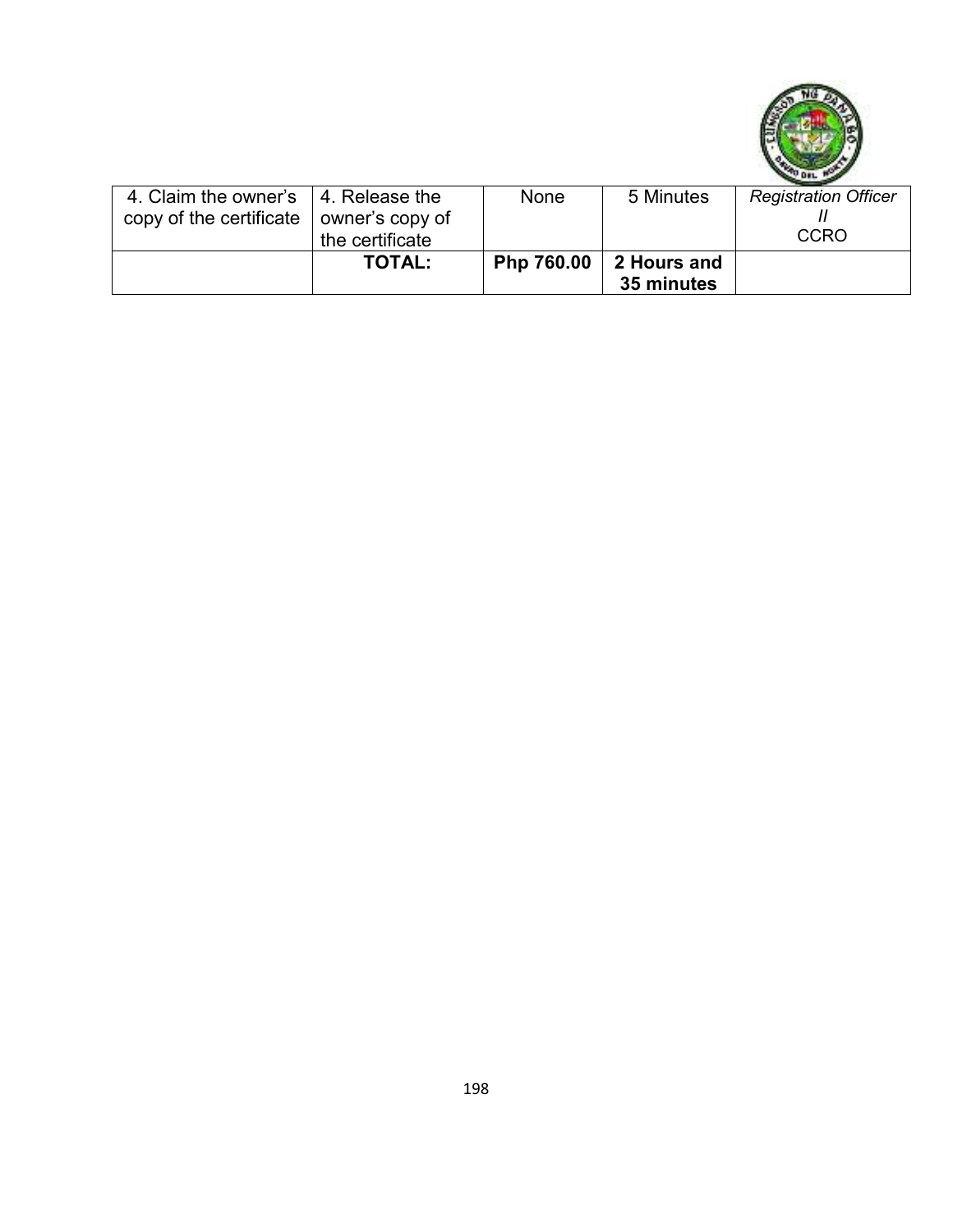

| 4. Claim the owner's   4. Release the           |                 | None       | 5 Minutes   | <b>Registration Officer</b> |
|-------------------------------------------------|-----------------|------------|-------------|-----------------------------|
| copy of the certificate $\vert$ owner's copy of |                 |            |             |                             |
|                                                 |                 |            |             | <b>CCRO</b>                 |
|                                                 | the certificate |            |             |                             |
|                                                 | <b>TOTAL:</b>   | Php 760.00 | 2 Hours and |                             |
|                                                 |                 |            |             |                             |
|                                                 |                 |            | 35 minutes  |                             |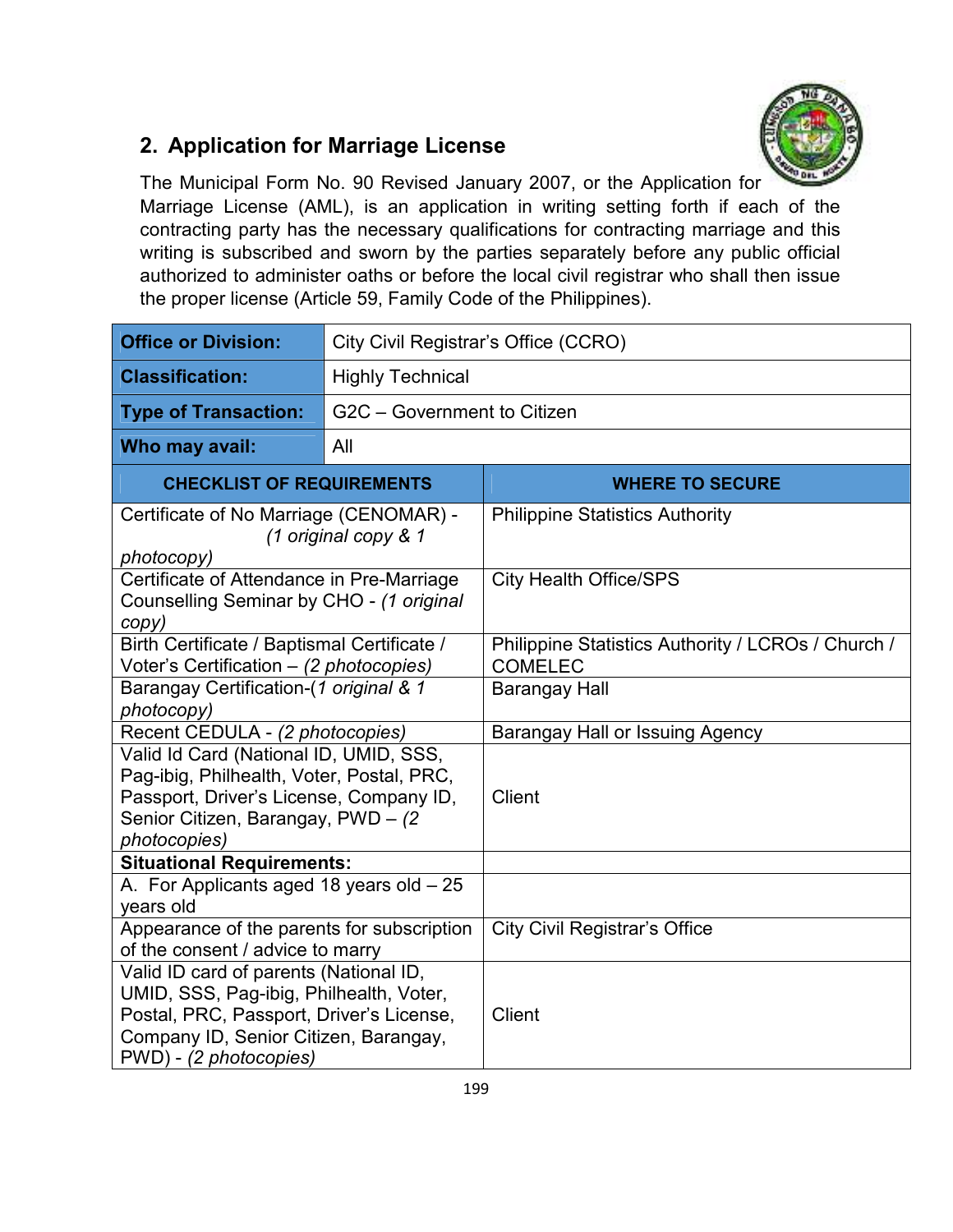

### **2. Application for Marriage License**

The Municipal Form No. 90 Revised January 2007, or the Application for Marriage License (AML), is an application in writing setting forth if each of the contracting party has the necessary qualifications for contracting marriage and this writing is subscribed and sworn by the parties separately before any public official authorized to administer oaths or before the local civil registrar who shall then issue the proper license (Article 59, Family Code of the Philippines).

| <b>Office or Division:</b>                                                                                                                                                                       |                             | City Civil Registrar's Office (CCRO)                                 |  |  |  |
|--------------------------------------------------------------------------------------------------------------------------------------------------------------------------------------------------|-----------------------------|----------------------------------------------------------------------|--|--|--|
| <b>Classification:</b>                                                                                                                                                                           | <b>Highly Technical</b>     |                                                                      |  |  |  |
| <b>Type of Transaction:</b>                                                                                                                                                                      | G2C - Government to Citizen |                                                                      |  |  |  |
| Who may avail:                                                                                                                                                                                   | All                         |                                                                      |  |  |  |
| <b>CHECKLIST OF REQUIREMENTS</b>                                                                                                                                                                 |                             | <b>WHERE TO SECURE</b>                                               |  |  |  |
| Certificate of No Marriage (CENOMAR) -<br>(1 original copy & 1<br>photocopy)                                                                                                                     |                             | <b>Philippine Statistics Authority</b>                               |  |  |  |
| Certificate of Attendance in Pre-Marriage<br>Counselling Seminar by CHO - (1 original<br>copy)                                                                                                   |                             | <b>City Health Office/SPS</b>                                        |  |  |  |
| Birth Certificate / Baptismal Certificate /<br>Voter's Certification - (2 photocopies)                                                                                                           |                             | Philippine Statistics Authority / LCROs / Church /<br><b>COMELEC</b> |  |  |  |
| Barangay Certification-(1 original & 1<br>photocopy)                                                                                                                                             |                             | <b>Barangay Hall</b>                                                 |  |  |  |
| Recent CEDULA - (2 photocopies)                                                                                                                                                                  |                             | Barangay Hall or Issuing Agency                                      |  |  |  |
| Valid Id Card (National ID, UMID, SSS,<br>Pag-ibig, Philhealth, Voter, Postal, PRC,<br>Passport, Driver's License, Company ID,<br>Senior Citizen, Barangay, PWD - (2)<br>photocopies)            |                             | Client                                                               |  |  |  |
| <b>Situational Requirements:</b>                                                                                                                                                                 |                             |                                                                      |  |  |  |
| A. For Applicants aged 18 years old $-25$<br>years old                                                                                                                                           |                             |                                                                      |  |  |  |
| Appearance of the parents for subscription<br>of the consent / advice to marry                                                                                                                   |                             | <b>City Civil Registrar's Office</b>                                 |  |  |  |
| Valid ID card of parents (National ID,<br>UMID, SSS, Pag-ibig, Philhealth, Voter,<br>Postal, PRC, Passport, Driver's License,<br>Company ID, Senior Citizen, Barangay,<br>PWD) - (2 photocopies) |                             | <b>Client</b>                                                        |  |  |  |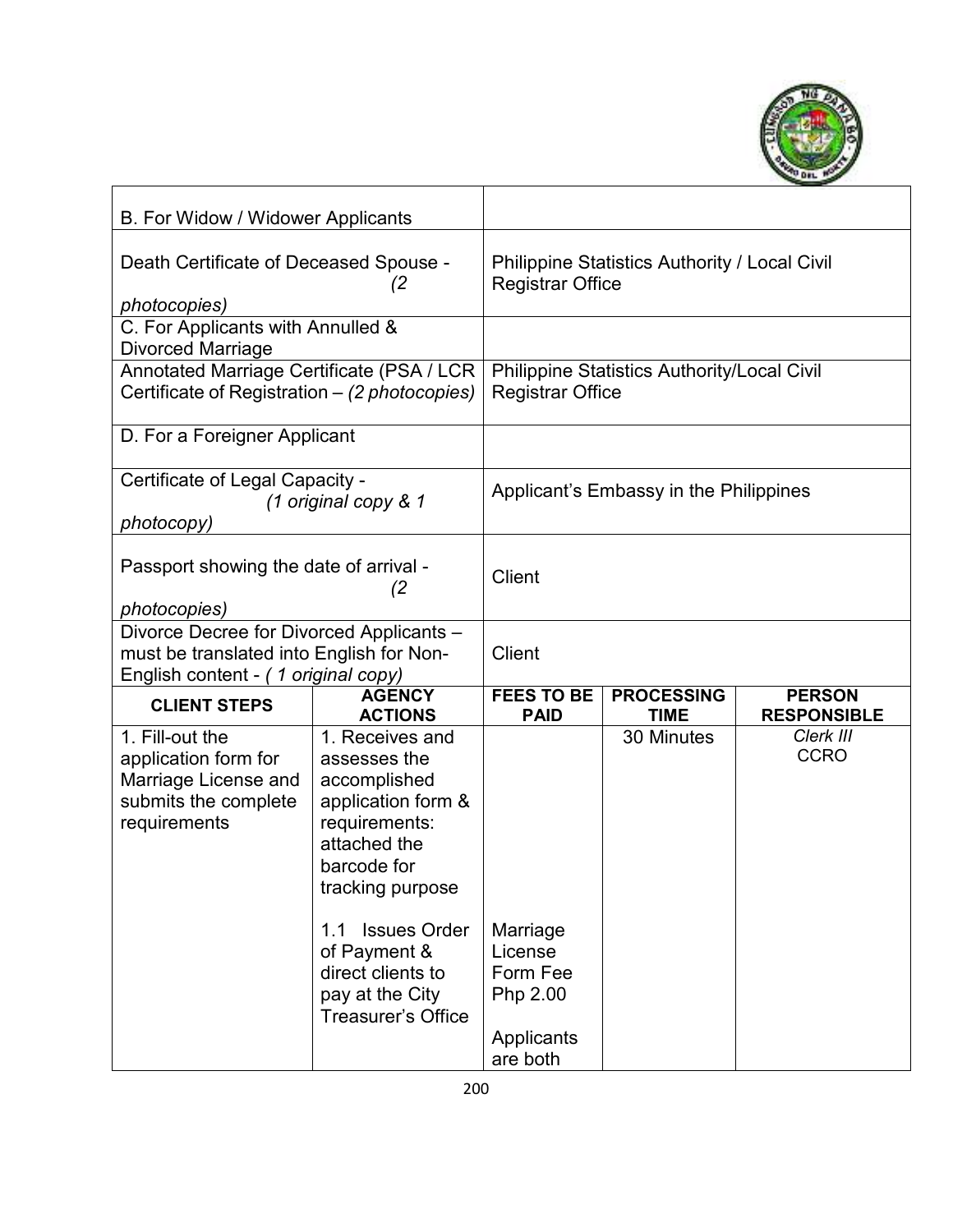

| B. For Widow / Widower Applicants                                                                                           |                                                                                                                                                                                                                                                       |                                                                       |                                                      |                                     |
|-----------------------------------------------------------------------------------------------------------------------------|-------------------------------------------------------------------------------------------------------------------------------------------------------------------------------------------------------------------------------------------------------|-----------------------------------------------------------------------|------------------------------------------------------|-------------------------------------|
| Death Certificate of Deceased Spouse -<br>(2<br>photocopies)                                                                |                                                                                                                                                                                                                                                       | <b>Registrar Office</b>                                               | <b>Philippine Statistics Authority / Local Civil</b> |                                     |
| C. For Applicants with Annulled &<br><b>Divorced Marriage</b>                                                               |                                                                                                                                                                                                                                                       |                                                                       |                                                      |                                     |
| Annotated Marriage Certificate (PSA / LCR<br>Certificate of Registration – (2 photocopies)                                  |                                                                                                                                                                                                                                                       | <b>Registrar Office</b>                                               | <b>Philippine Statistics Authority/Local Civil</b>   |                                     |
| D. For a Foreigner Applicant                                                                                                |                                                                                                                                                                                                                                                       |                                                                       |                                                      |                                     |
| Certificate of Legal Capacity -<br>photocopy)                                                                               | (1 original copy & 1                                                                                                                                                                                                                                  |                                                                       | Applicant's Embassy in the Philippines               |                                     |
| Passport showing the date of arrival -<br>(2)<br>photocopies)                                                               |                                                                                                                                                                                                                                                       | Client                                                                |                                                      |                                     |
| Divorce Decree for Divorced Applicants -<br>must be translated into English for Non-<br>English content - (1 original copy) |                                                                                                                                                                                                                                                       | <b>Client</b>                                                         |                                                      |                                     |
| <b>CLIENT STEPS</b>                                                                                                         | <b>AGENCY</b><br><b>ACTIONS</b>                                                                                                                                                                                                                       | <b>FEES TO BE</b><br><b>PAID</b>                                      | <b>PROCESSING</b><br><b>TIME</b>                     | <b>PERSON</b><br><b>RESPONSIBLE</b> |
| 1. Fill-out the<br>application form for<br>Marriage License and<br>submits the complete<br>requirements                     | 1. Receives and<br>assesses the<br>accomplished<br>application form &<br>requirements:<br>attached the<br>barcode for<br>tracking purpose<br><b>Issues Order</b><br>1.1<br>of Payment &<br>direct clients to<br>pay at the City<br>Treasurer's Office | Marriage<br>License<br>Form Fee<br>Php 2.00<br>Applicants<br>are both | 30 Minutes                                           | Clerk III<br><b>CCRO</b>            |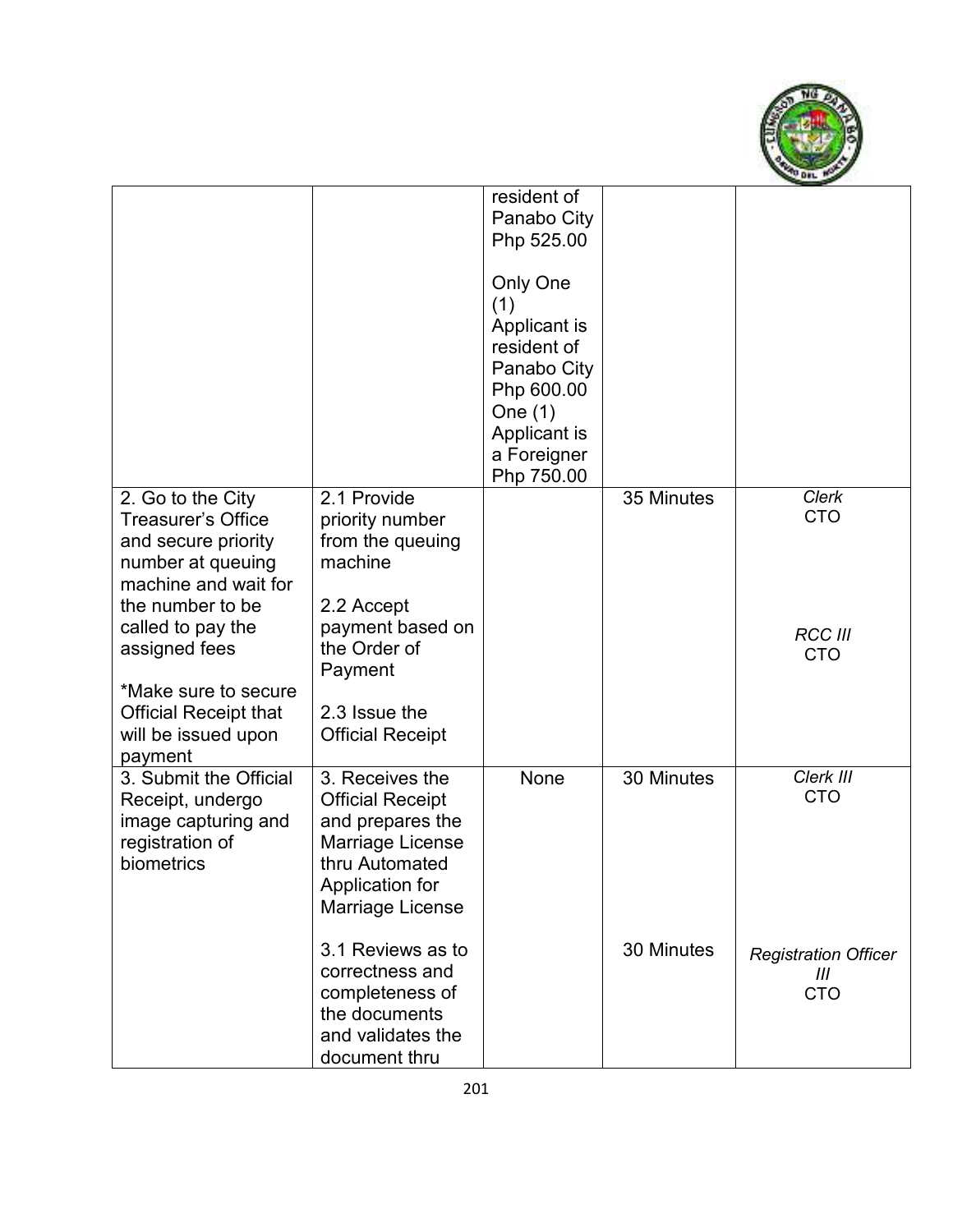

|                                                                                                                                 |                                                                                                                                             | resident of<br>Panabo City<br>Php 525.00<br>Only One<br>(1)<br>Applicant is<br>resident of<br>Panabo City<br>Php 600.00<br>One $(1)$<br>Applicant is<br>a Foreigner<br>Php 750.00 |            |                                                |
|---------------------------------------------------------------------------------------------------------------------------------|---------------------------------------------------------------------------------------------------------------------------------------------|-----------------------------------------------------------------------------------------------------------------------------------------------------------------------------------|------------|------------------------------------------------|
| 2. Go to the City<br>Treasurer's Office<br>and secure priority<br>number at queuing<br>machine and wait for<br>the number to be | 2.1 Provide<br>priority number<br>from the queuing<br>machine<br>2.2 Accept                                                                 |                                                                                                                                                                                   | 35 Minutes | <b>Clerk</b><br><b>CTO</b>                     |
| called to pay the<br>assigned fees<br>*Make sure to secure<br><b>Official Receipt that</b><br>will be issued upon<br>payment    | payment based on<br>the Order of<br>Payment<br>2.3 Issue the<br><b>Official Receipt</b>                                                     |                                                                                                                                                                                   |            | <b>RCC III</b><br><b>CTO</b>                   |
| 3. Submit the Official<br>Receipt, undergo<br>image capturing and<br>registration of<br>biometrics                              | 3. Receives the<br><b>Official Receipt</b><br>and prepares the<br>Marriage License<br>thru Automated<br>Application for<br>Marriage License | None                                                                                                                                                                              | 30 Minutes | Clerk III<br><b>CTO</b>                        |
|                                                                                                                                 | 3.1 Reviews as to<br>correctness and<br>completeness of<br>the documents<br>and validates the<br>document thru                              |                                                                                                                                                                                   | 30 Minutes | <b>Registration Officer</b><br>Ш<br><b>CTO</b> |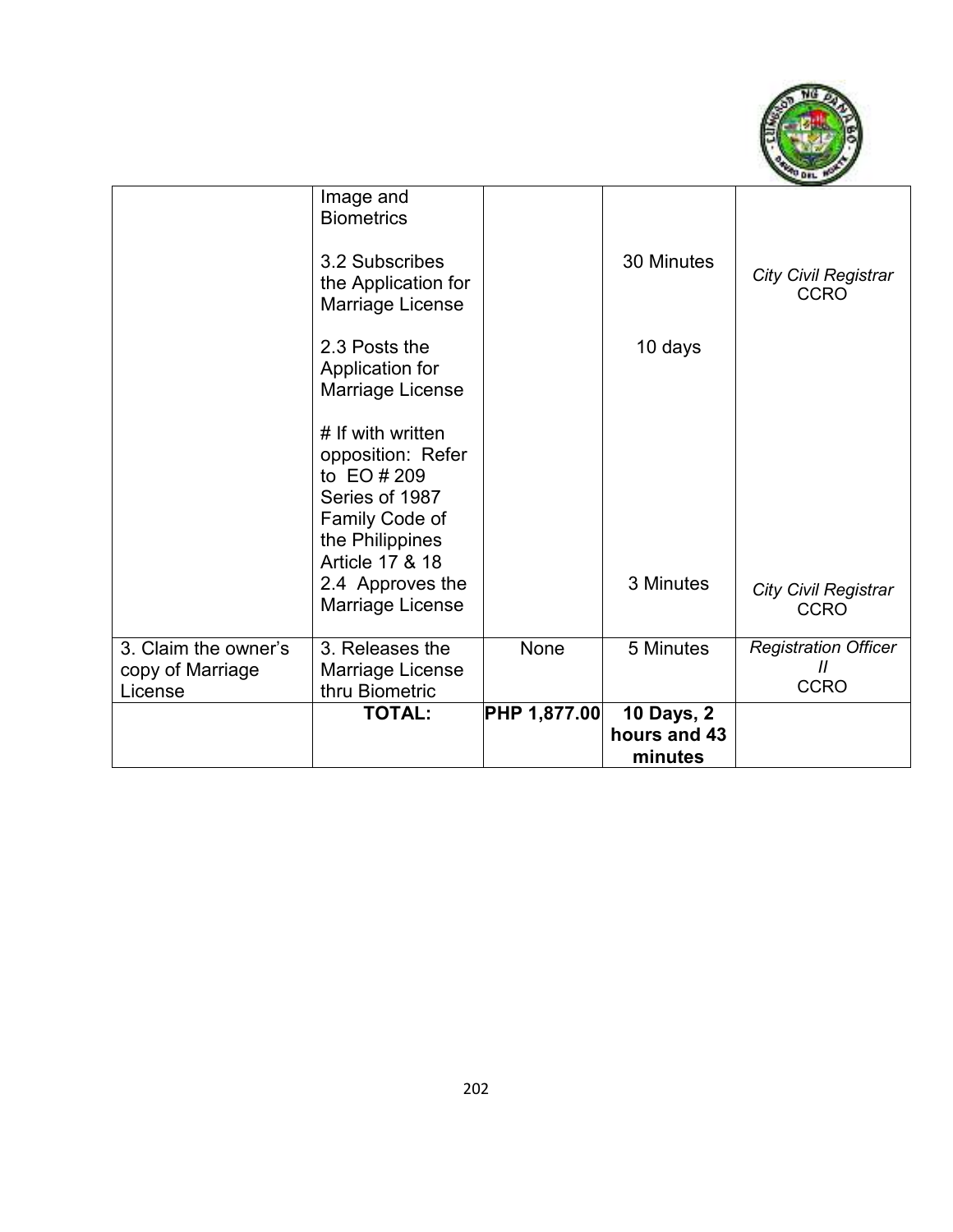

| copy of Marriage     | 3. Releases the<br>Marriage License                                                                                                                                     | None | 5 Minutes  | <b>Registration Officer</b><br>$^{\prime\prime}$<br><b>CCRO</b> |
|----------------------|-------------------------------------------------------------------------------------------------------------------------------------------------------------------------|------|------------|-----------------------------------------------------------------|
| 3. Claim the owner's |                                                                                                                                                                         |      |            |                                                                 |
|                      | # If with written<br>opposition: Refer<br>to EO # 209<br>Series of 1987<br>Family Code of<br>the Philippines<br>Article 17 & 18<br>2.4 Approves the<br>Marriage License |      | 3 Minutes  | City Civil Registrar<br><b>CCRO</b>                             |
|                      | 2.3 Posts the<br>Application for<br>Marriage License                                                                                                                    |      | 10 days    |                                                                 |
|                      | Image and<br><b>Biometrics</b><br>3.2 Subscribes<br>the Application for<br>Marriage License                                                                             |      | 30 Minutes | <b>City Civil Registrar</b><br><b>CCRO</b>                      |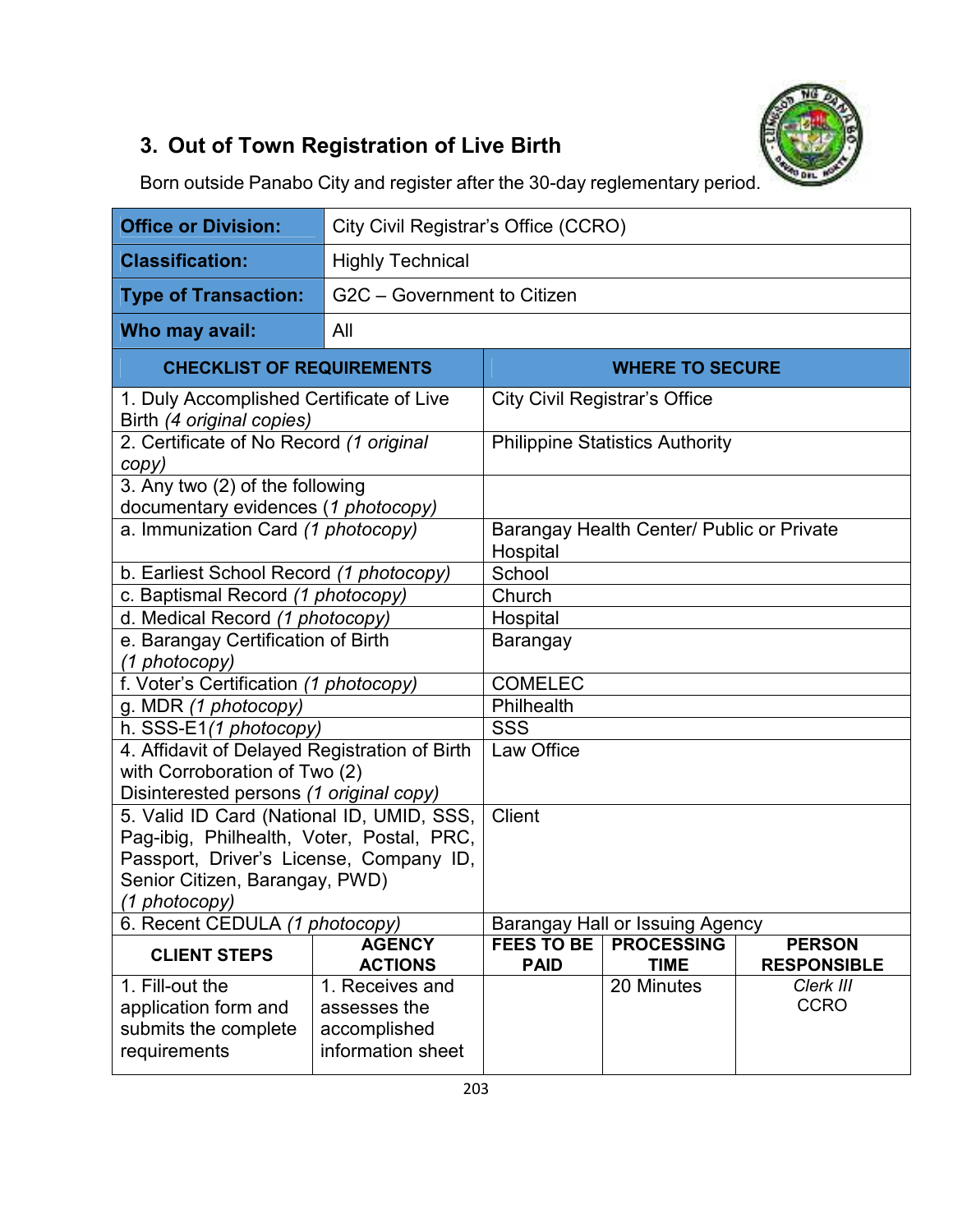

# **3. Out of Town Registration of Live Birth**

Born outside Panabo City and register after the 30-day reglementary period.

| <b>Office or Division:</b>                                                           |                             | City Civil Registrar's Office (CCRO) |                                           |                    |  |
|--------------------------------------------------------------------------------------|-----------------------------|--------------------------------------|-------------------------------------------|--------------------|--|
| <b>Classification:</b>                                                               | <b>Highly Technical</b>     |                                      |                                           |                    |  |
| <b>Type of Transaction:</b>                                                          | G2C - Government to Citizen |                                      |                                           |                    |  |
| Who may avail:                                                                       | All                         |                                      |                                           |                    |  |
| <b>CHECKLIST OF REQUIREMENTS</b>                                                     |                             |                                      | <b>WHERE TO SECURE</b>                    |                    |  |
| 1. Duly Accomplished Certificate of Live<br>Birth (4 original copies)                |                             |                                      | <b>City Civil Registrar's Office</b>      |                    |  |
| 2. Certificate of No Record (1 original<br>copy)                                     |                             |                                      | <b>Philippine Statistics Authority</b>    |                    |  |
| 3. Any two (2) of the following<br>documentary evidences (1 photocopy)               |                             |                                      |                                           |                    |  |
| a. Immunization Card (1 photocopy)                                                   |                             | Hospital                             | Barangay Health Center/ Public or Private |                    |  |
| b. Earliest School Record (1 photocopy)                                              |                             | School                               |                                           |                    |  |
| c. Baptismal Record (1 photocopy)                                                    |                             | Church                               |                                           |                    |  |
| d. Medical Record (1 photocopy)                                                      |                             | Hospital                             |                                           |                    |  |
| e. Barangay Certification of Birth                                                   |                             | Barangay                             |                                           |                    |  |
| (1 photocopy)                                                                        |                             |                                      |                                           |                    |  |
| f. Voter's Certification (1 photocopy)                                               |                             | <b>COMELEC</b>                       |                                           |                    |  |
| g. MDR (1 photocopy)                                                                 |                             | Philhealth                           |                                           |                    |  |
| h. SSS-E1(1 photocopy)                                                               |                             | <b>SSS</b>                           |                                           |                    |  |
| 4. Affidavit of Delayed Registration of Birth                                        |                             | Law Office                           |                                           |                    |  |
| with Corroboration of Two (2)                                                        |                             |                                      |                                           |                    |  |
| Disinterested persons (1 original copy)<br>5. Valid ID Card (National ID, UMID, SSS, |                             | <b>Client</b>                        |                                           |                    |  |
| Pag-ibig, Philhealth, Voter, Postal, PRC,                                            |                             |                                      |                                           |                    |  |
| Passport, Driver's License, Company ID,                                              |                             |                                      |                                           |                    |  |
| Senior Citizen, Barangay, PWD)                                                       |                             |                                      |                                           |                    |  |
| (1 photocopy)                                                                        |                             |                                      |                                           |                    |  |
| 6. Recent CEDULA (1 photocopy)                                                       |                             |                                      | Barangay Hall or Issuing Agency           |                    |  |
| <b>CLIENT STEPS</b>                                                                  | <b>AGENCY</b>               | <b>FEES TO BE</b>                    | <b>PROCESSING</b>                         | <b>PERSON</b>      |  |
|                                                                                      | <b>ACTIONS</b>              | <b>PAID</b>                          | <b>TIME</b>                               | <b>RESPONSIBLE</b> |  |
| 1. Fill-out the                                                                      | 1. Receives and             |                                      | 20 Minutes                                | Clerk III          |  |
| application form and                                                                 | assesses the                |                                      |                                           | <b>CCRO</b>        |  |
| submits the complete                                                                 | accomplished                |                                      |                                           |                    |  |
| requirements                                                                         | information sheet           |                                      |                                           |                    |  |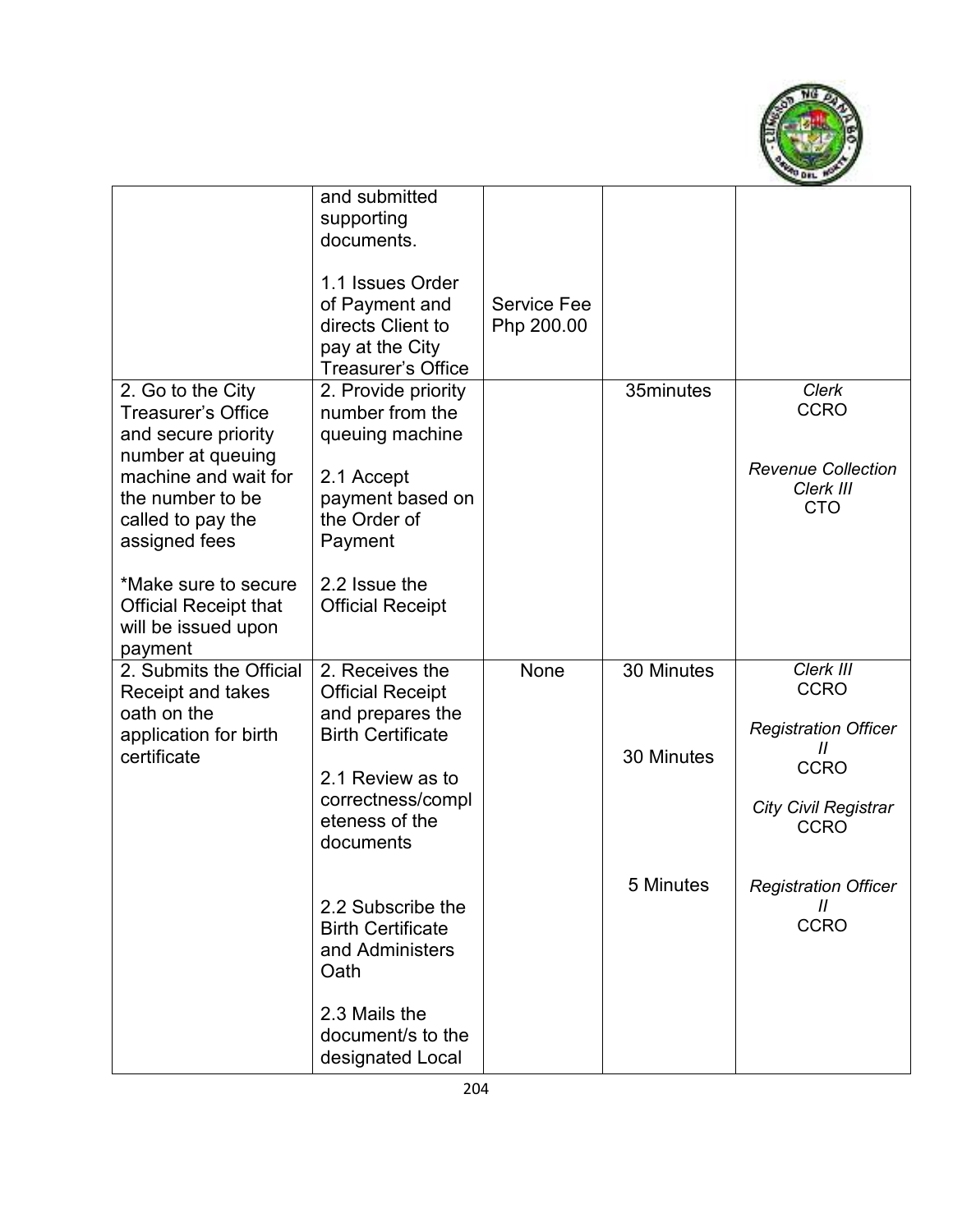

|                                                                                                                                                                                                                                                                 | and submitted<br>supporting<br>documents.<br>1.1 Issues Order<br>of Payment and<br>directs Client to<br>pay at the City<br><b>Treasurer's Office</b>                                                                                           | <b>Service Fee</b><br>Php 200.00 |                                       |                                                                                                                                                                                           |
|-----------------------------------------------------------------------------------------------------------------------------------------------------------------------------------------------------------------------------------------------------------------|------------------------------------------------------------------------------------------------------------------------------------------------------------------------------------------------------------------------------------------------|----------------------------------|---------------------------------------|-------------------------------------------------------------------------------------------------------------------------------------------------------------------------------------------|
| 2. Go to the City<br>Treasurer's Office<br>and secure priority<br>number at queuing<br>machine and wait for<br>the number to be<br>called to pay the<br>assigned fees<br>*Make sure to secure<br><b>Official Receipt that</b><br>will be issued upon<br>payment | 2. Provide priority<br>number from the<br>queuing machine<br>2.1 Accept<br>payment based on<br>the Order of<br>Payment<br>2.2 Issue the<br><b>Official Receipt</b>                                                                             |                                  | 35minutes                             | <b>Clerk</b><br><b>CCRO</b><br><b>Revenue Collection</b><br>Clerk III<br><b>CTO</b>                                                                                                       |
| 2. Submits the Official<br><b>Receipt and takes</b><br>oath on the<br>application for birth<br>certificate                                                                                                                                                      | 2. Receives the<br><b>Official Receipt</b><br>and prepares the<br><b>Birth Certificate</b><br>2.1 Review as to<br>correctness/compl<br>eteness of the<br>documents<br>2.2 Subscribe the<br><b>Birth Certificate</b><br>and Administers<br>Oath | None                             | 30 Minutes<br>30 Minutes<br>5 Minutes | Clerk III<br><b>CCRO</b><br><b>Registration Officer</b><br>11<br><b>CCRO</b><br><b>City Civil Registrar</b><br><b>CCRO</b><br><b>Registration Officer</b><br>$\mathcal{H}$<br><b>CCRO</b> |
|                                                                                                                                                                                                                                                                 | 2.3 Mails the<br>document/s to the<br>designated Local                                                                                                                                                                                         |                                  |                                       |                                                                                                                                                                                           |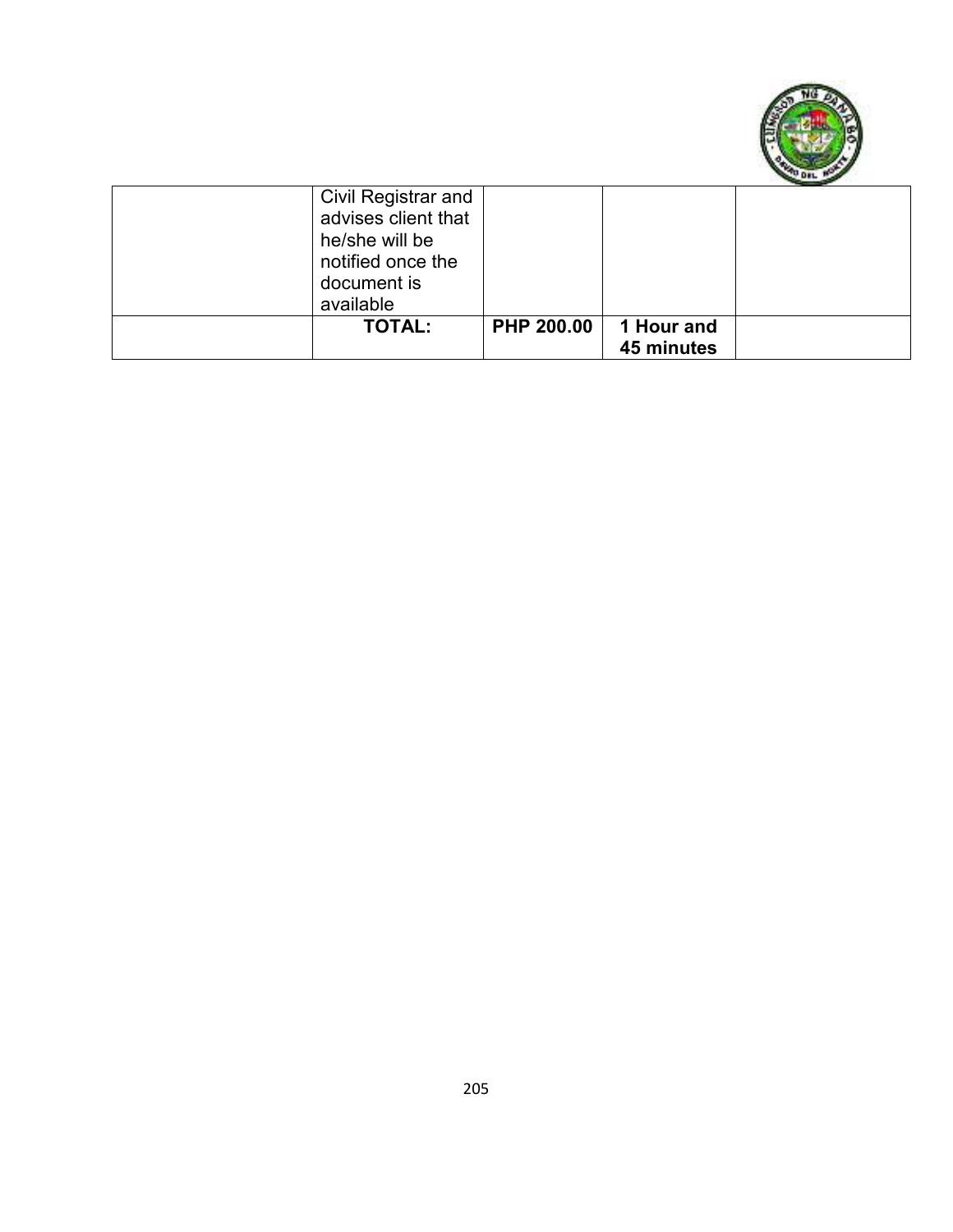

| Civil Registrar and<br>advises client that<br>he/she will be<br>notified once the<br>document is<br>available |                   |                          |  |
|---------------------------------------------------------------------------------------------------------------|-------------------|--------------------------|--|
| <b>TOTAL:</b>                                                                                                 | <b>PHP 200.00</b> | 1 Hour and<br>45 minutes |  |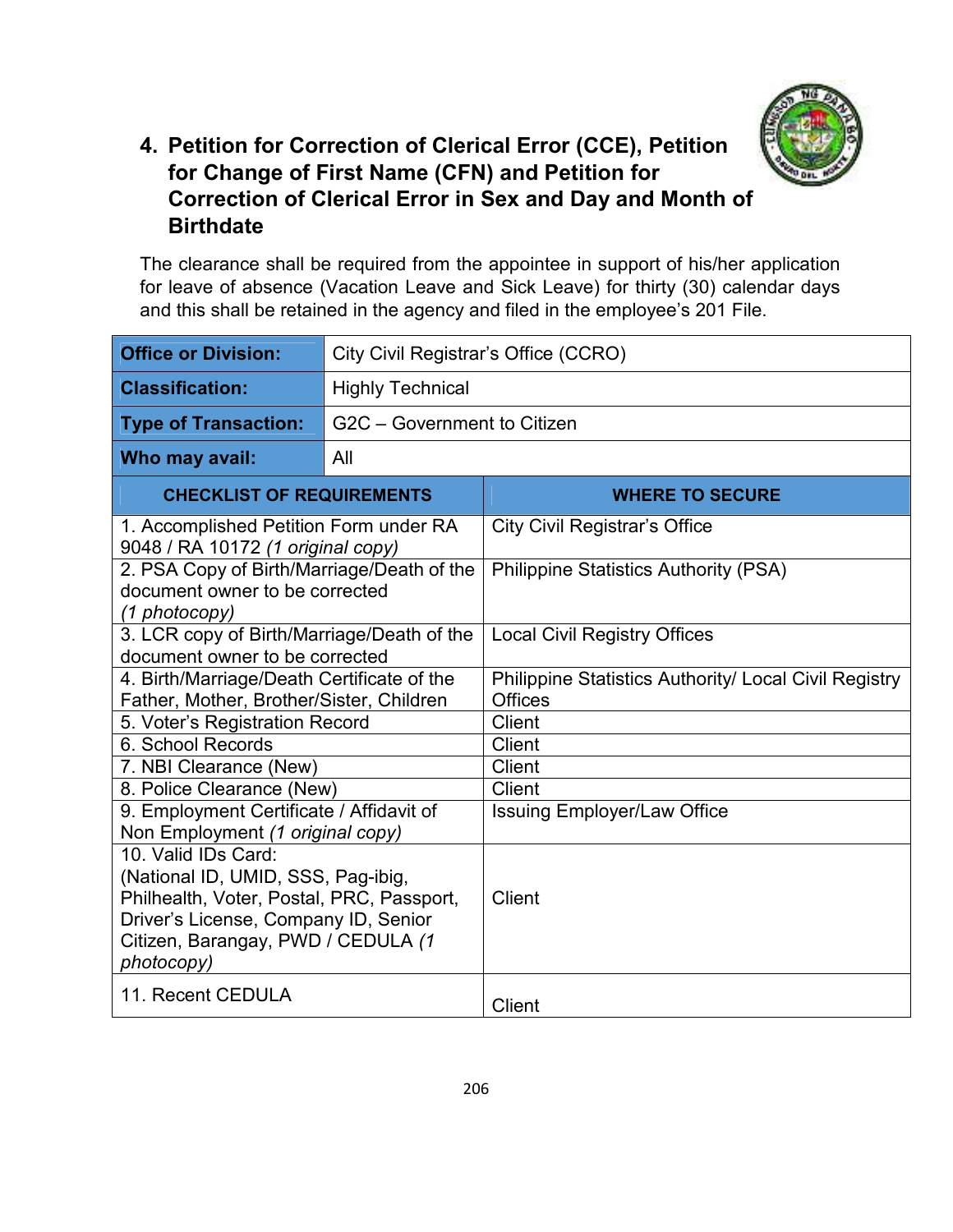

#### **4. Petition for Correction of Clerical Error (CCE), Petition for Change of First Name (CFN) and Petition for Correction of Clerical Error in Sex and Day and Month of Birthdate**

The clearance shall be required from the appointee in support of his/her application for leave of absence (Vacation Leave and Sick Leave) for thirty (30) calendar days and this shall be retained in the agency and filed in the employee's 201 File.

| <b>Office or Division:</b>                                                                                                                                                                         | City Civil Registrar's Office (CCRO) |                                                                                |  |
|----------------------------------------------------------------------------------------------------------------------------------------------------------------------------------------------------|--------------------------------------|--------------------------------------------------------------------------------|--|
| <b>Classification:</b>                                                                                                                                                                             | <b>Highly Technical</b>              |                                                                                |  |
| <b>Type of Transaction:</b>                                                                                                                                                                        | G2C - Government to Citizen          |                                                                                |  |
| Who may avail:                                                                                                                                                                                     | All                                  |                                                                                |  |
| <b>CHECKLIST OF REQUIREMENTS</b>                                                                                                                                                                   |                                      | <b>WHERE TO SECURE</b>                                                         |  |
| 1. Accomplished Petition Form under RA<br>9048 / RA 10172 (1 original copy)                                                                                                                        |                                      | <b>City Civil Registrar's Office</b>                                           |  |
| 2. PSA Copy of Birth/Marriage/Death of the<br>document owner to be corrected<br>(1 photocopy)                                                                                                      |                                      | <b>Philippine Statistics Authority (PSA)</b>                                   |  |
| 3. LCR copy of Birth/Marriage/Death of the<br>document owner to be corrected                                                                                                                       |                                      | <b>Local Civil Registry Offices</b>                                            |  |
| 4. Birth/Marriage/Death Certificate of the<br>Father, Mother, Brother/Sister, Children                                                                                                             |                                      | <b>Philippine Statistics Authority/ Local Civil Registry</b><br><b>Offices</b> |  |
| 5. Voter's Registration Record                                                                                                                                                                     |                                      | Client                                                                         |  |
| 6. School Records                                                                                                                                                                                  |                                      | Client                                                                         |  |
| 7. NBI Clearance (New)                                                                                                                                                                             |                                      | <b>Client</b>                                                                  |  |
| 8. Police Clearance (New)                                                                                                                                                                          |                                      | <b>Client</b>                                                                  |  |
| 9. Employment Certificate / Affidavit of<br>Non Employment (1 original copy)                                                                                                                       |                                      | <b>Issuing Employer/Law Office</b>                                             |  |
| 10. Valid IDs Card:<br>(National ID, UMID, SSS, Pag-ibig,<br>Philhealth, Voter, Postal, PRC, Passport,<br>Driver's License, Company ID, Senior<br>Citizen, Barangay, PWD / CEDULA (1<br>photocopy) |                                      | <b>Client</b>                                                                  |  |
| 11. Recent CEDULA                                                                                                                                                                                  |                                      | <b>Client</b>                                                                  |  |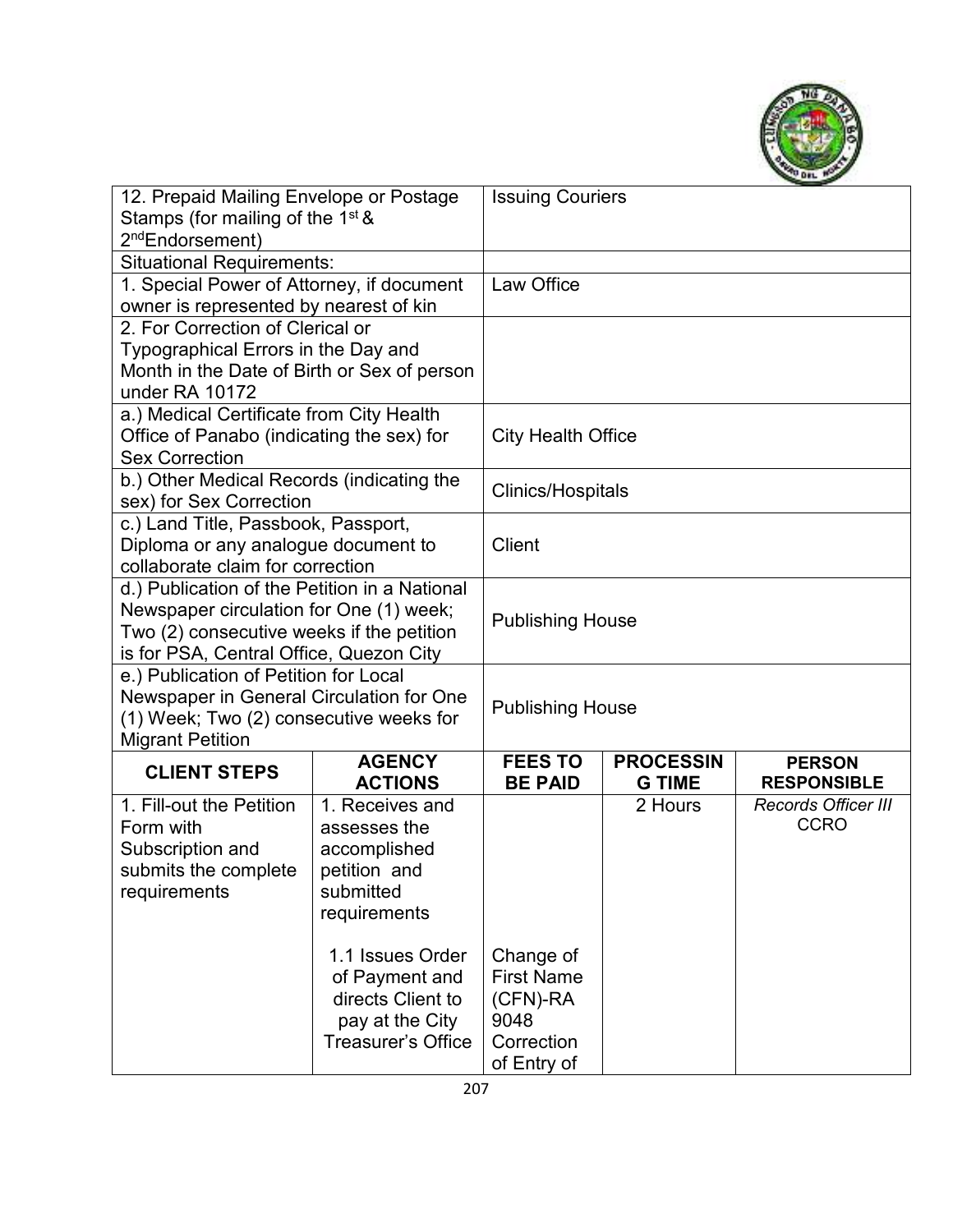

| 12. Prepaid Mailing Envelope or Postage                          |                                    | <b>Issuing Couriers</b>          |                                   |                                     |
|------------------------------------------------------------------|------------------------------------|----------------------------------|-----------------------------------|-------------------------------------|
| Stamps (for mailing of the 1 <sup>st &amp;</sup>                 |                                    |                                  |                                   |                                     |
| 2 <sup>nd</sup> Endorsement)<br><b>Situational Requirements:</b> |                                    |                                  |                                   |                                     |
| 1. Special Power of Attorney, if document                        |                                    | Law Office                       |                                   |                                     |
| owner is represented by nearest of kin                           |                                    |                                  |                                   |                                     |
| 2. For Correction of Clerical or                                 |                                    |                                  |                                   |                                     |
| Typographical Errors in the Day and                              |                                    |                                  |                                   |                                     |
| Month in the Date of Birth or Sex of person                      |                                    |                                  |                                   |                                     |
| under RA 10172                                                   |                                    |                                  |                                   |                                     |
| a.) Medical Certificate from City Health                         |                                    |                                  |                                   |                                     |
| Office of Panabo (indicating the sex) for                        |                                    | <b>City Health Office</b>        |                                   |                                     |
| <b>Sex Correction</b>                                            |                                    |                                  |                                   |                                     |
| b.) Other Medical Records (indicating the                        |                                    | <b>Clinics/Hospitals</b>         |                                   |                                     |
| sex) for Sex Correction<br>c.) Land Title, Passbook, Passport,   |                                    |                                  |                                   |                                     |
| Diploma or any analogue document to                              |                                    | <b>Client</b>                    |                                   |                                     |
| collaborate claim for correction                                 |                                    |                                  |                                   |                                     |
| d.) Publication of the Petition in a National                    |                                    |                                  |                                   |                                     |
| Newspaper circulation for One (1) week;                          |                                    |                                  |                                   |                                     |
| Two (2) consecutive weeks if the petition                        |                                    | <b>Publishing House</b>          |                                   |                                     |
| is for PSA, Central Office, Quezon City                          |                                    |                                  |                                   |                                     |
| e.) Publication of Petition for Local                            |                                    |                                  |                                   |                                     |
| Newspaper in General Circulation for One                         |                                    | <b>Publishing House</b>          |                                   |                                     |
| (1) Week; Two (2) consecutive weeks for                          |                                    |                                  |                                   |                                     |
| <b>Migrant Petition</b>                                          |                                    |                                  |                                   |                                     |
| <b>CLIENT STEPS</b>                                              | <b>AGENCY</b><br><b>ACTIONS</b>    | <b>FEES TO</b><br><b>BE PAID</b> | <b>PROCESSIN</b><br><b>G TIME</b> | <b>PERSON</b><br><b>RESPONSIBLE</b> |
| 1. Fill-out the Petition                                         | 1. Receives and                    |                                  | 2 Hours                           | <b>Records Officer III</b>          |
| Form with                                                        | assesses the                       |                                  |                                   | <b>CCRO</b>                         |
| Subscription and                                                 | accomplished                       |                                  |                                   |                                     |
| submits the complete                                             | petition and                       |                                  |                                   |                                     |
| requirements                                                     | submitted                          |                                  |                                   |                                     |
|                                                                  | requirements                       |                                  |                                   |                                     |
|                                                                  |                                    |                                  |                                   |                                     |
|                                                                  | 1.1 Issues Order<br>of Payment and | Change of<br><b>First Name</b>   |                                   |                                     |
|                                                                  | directs Client to                  | (CFN)-RA                         |                                   |                                     |
|                                                                  | pay at the City                    | 9048                             |                                   |                                     |
|                                                                  | <b>Treasurer's Office</b>          | Correction                       |                                   |                                     |
|                                                                  |                                    | of Entry of                      |                                   |                                     |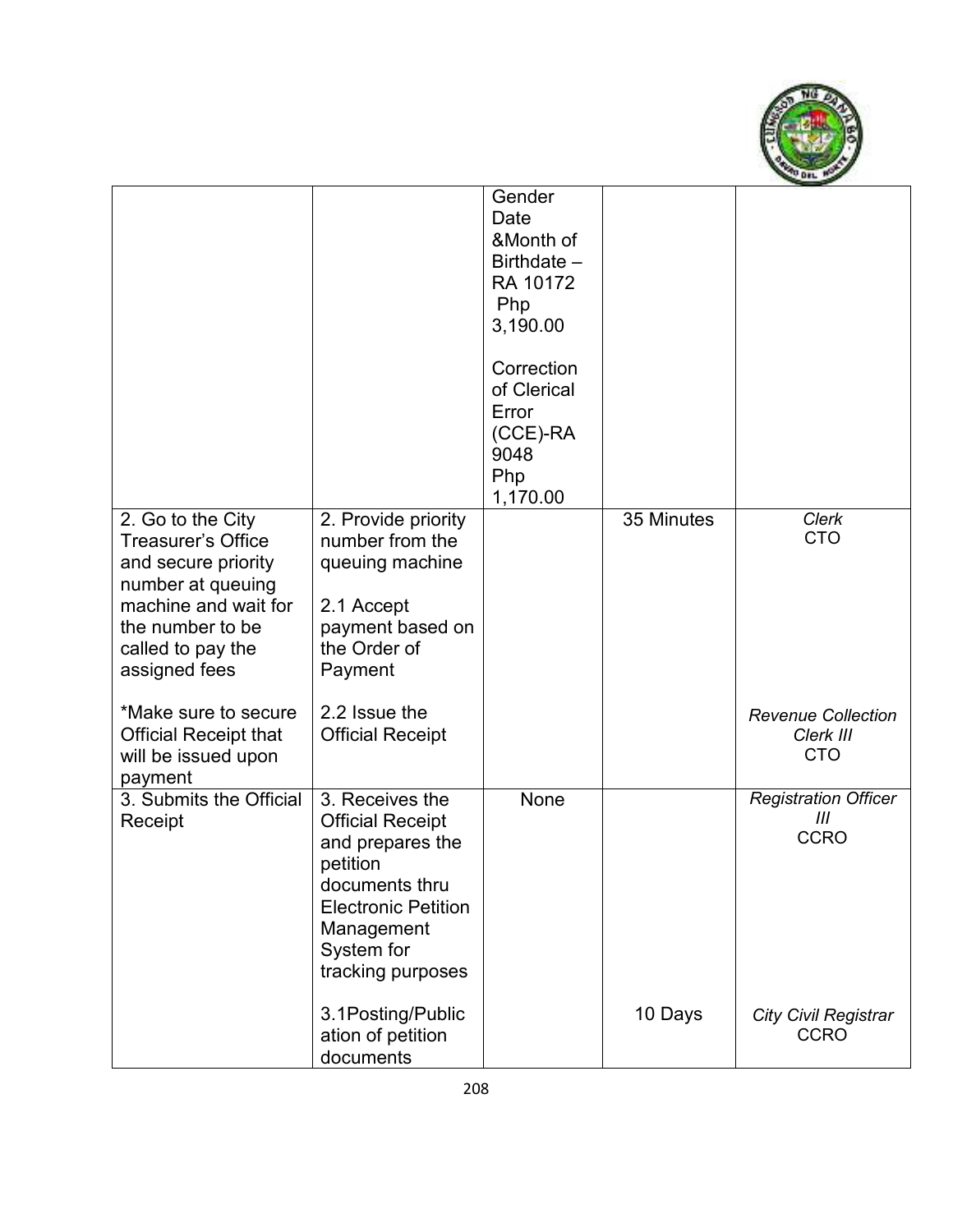

|                                                                                                                                                                                               |                                                                                                                                                                             | Gender<br>Date<br>&Month of<br>Birthdate -<br>RA 10172<br>Php<br>3,190.00<br>Correction<br>of Clerical<br>Error<br>$(CCE)$ -RA<br>9048<br>Php<br>1,170.00 |            |                                                         |
|-----------------------------------------------------------------------------------------------------------------------------------------------------------------------------------------------|-----------------------------------------------------------------------------------------------------------------------------------------------------------------------------|-----------------------------------------------------------------------------------------------------------------------------------------------------------|------------|---------------------------------------------------------|
| 2. Go to the City<br>Treasurer's Office<br>and secure priority<br>number at queuing<br>machine and wait for<br>the number to be<br>called to pay the<br>assigned fees<br>*Make sure to secure | 2. Provide priority<br>number from the<br>queuing machine<br>2.1 Accept<br>payment based on<br>the Order of<br>Payment<br>2.2 Issue the                                     |                                                                                                                                                           | 35 Minutes | <b>Clerk</b><br><b>CTO</b><br><b>Revenue Collection</b> |
| <b>Official Receipt that</b><br>will be issued upon<br>payment                                                                                                                                | <b>Official Receipt</b>                                                                                                                                                     |                                                                                                                                                           |            | Clerk III<br><b>CTO</b>                                 |
| 3. Submits the Official<br>Receipt                                                                                                                                                            | 3. Receives the<br><b>Official Receipt</b><br>and prepares the<br>petition<br>documents thru<br><b>Electronic Petition</b><br>Management<br>System for<br>tracking purposes | None                                                                                                                                                      |            | <b>Registration Officer</b><br>Ш<br><b>CCRO</b>         |
|                                                                                                                                                                                               | 3.1Posting/Public<br>ation of petition<br>documents                                                                                                                         |                                                                                                                                                           | 10 Days    | <b>City Civil Registrar</b><br><b>CCRO</b>              |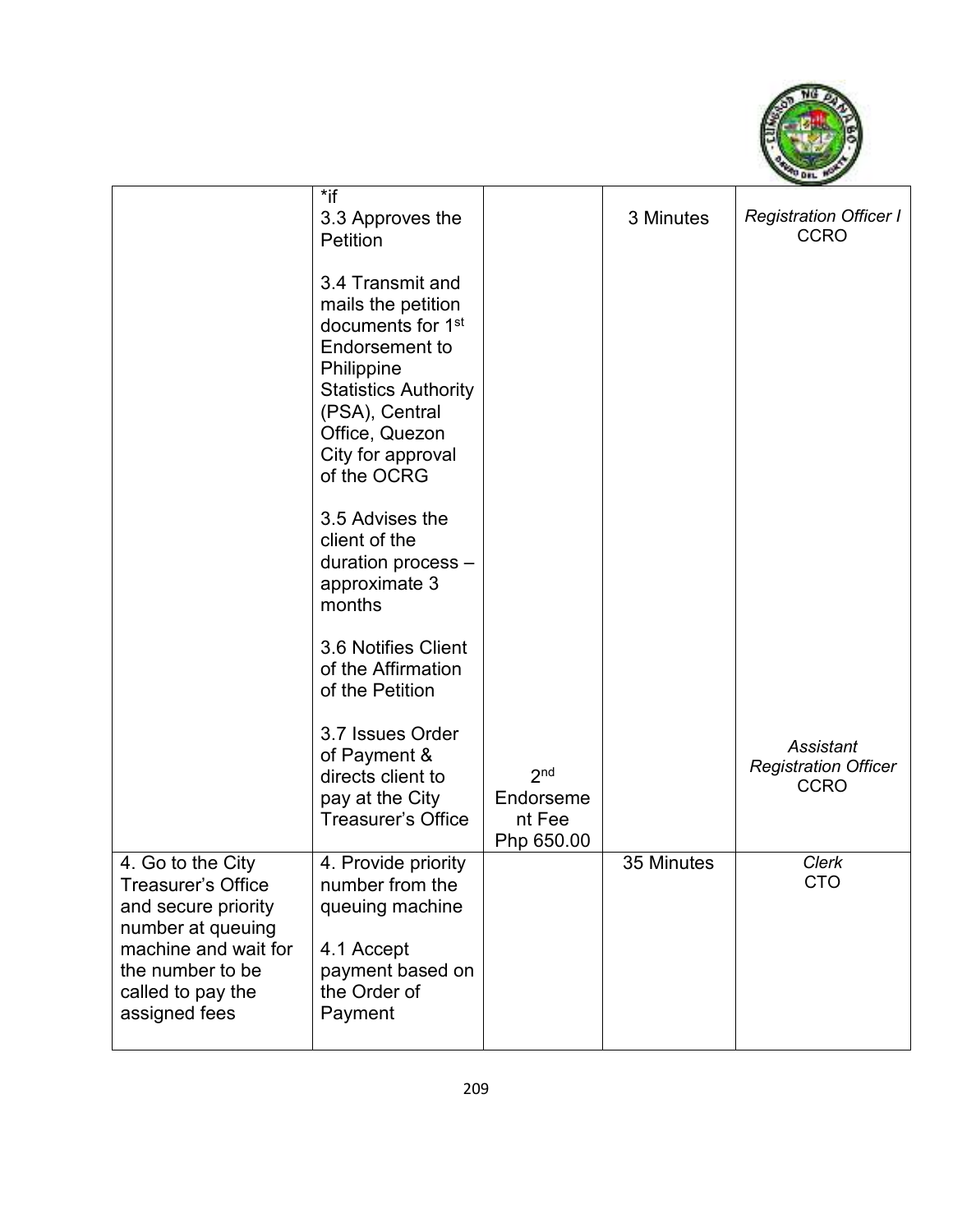

|                                                                                                                                                                              | $*$ if<br>3.3 Approves the<br><b>Petition</b>                                                                                                                                                                         |                                                      | 3 Minutes  | <b>Registration Officer I</b><br><b>CCRO</b>            |
|------------------------------------------------------------------------------------------------------------------------------------------------------------------------------|-----------------------------------------------------------------------------------------------------------------------------------------------------------------------------------------------------------------------|------------------------------------------------------|------------|---------------------------------------------------------|
|                                                                                                                                                                              | 3.4 Transmit and<br>mails the petition<br>documents for 1 <sup>st</sup><br><b>Endorsement to</b><br>Philippine<br><b>Statistics Authority</b><br>(PSA), Central<br>Office, Quezon<br>City for approval<br>of the OCRG |                                                      |            |                                                         |
|                                                                                                                                                                              | 3.5 Advises the<br>client of the<br>duration process -<br>approximate 3<br>months                                                                                                                                     |                                                      |            |                                                         |
|                                                                                                                                                                              | 3.6 Notifies Client<br>of the Affirmation<br>of the Petition                                                                                                                                                          |                                                      |            |                                                         |
|                                                                                                                                                                              | 3.7 Issues Order<br>of Payment &<br>directs client to<br>pay at the City<br>Treasurer's Office                                                                                                                        | 2 <sub>nd</sub><br>Endorseme<br>nt Fee<br>Php 650.00 |            | Assistant<br><b>Registration Officer</b><br><b>CCRO</b> |
| 4. Go to the City<br><b>Treasurer's Office</b><br>and secure priority<br>number at queuing<br>machine and wait for<br>the number to be<br>called to pay the<br>assigned fees | 4. Provide priority<br>number from the<br>queuing machine<br>4.1 Accept<br>payment based on<br>the Order of<br>Payment                                                                                                |                                                      | 35 Minutes | Clerk<br><b>CTO</b>                                     |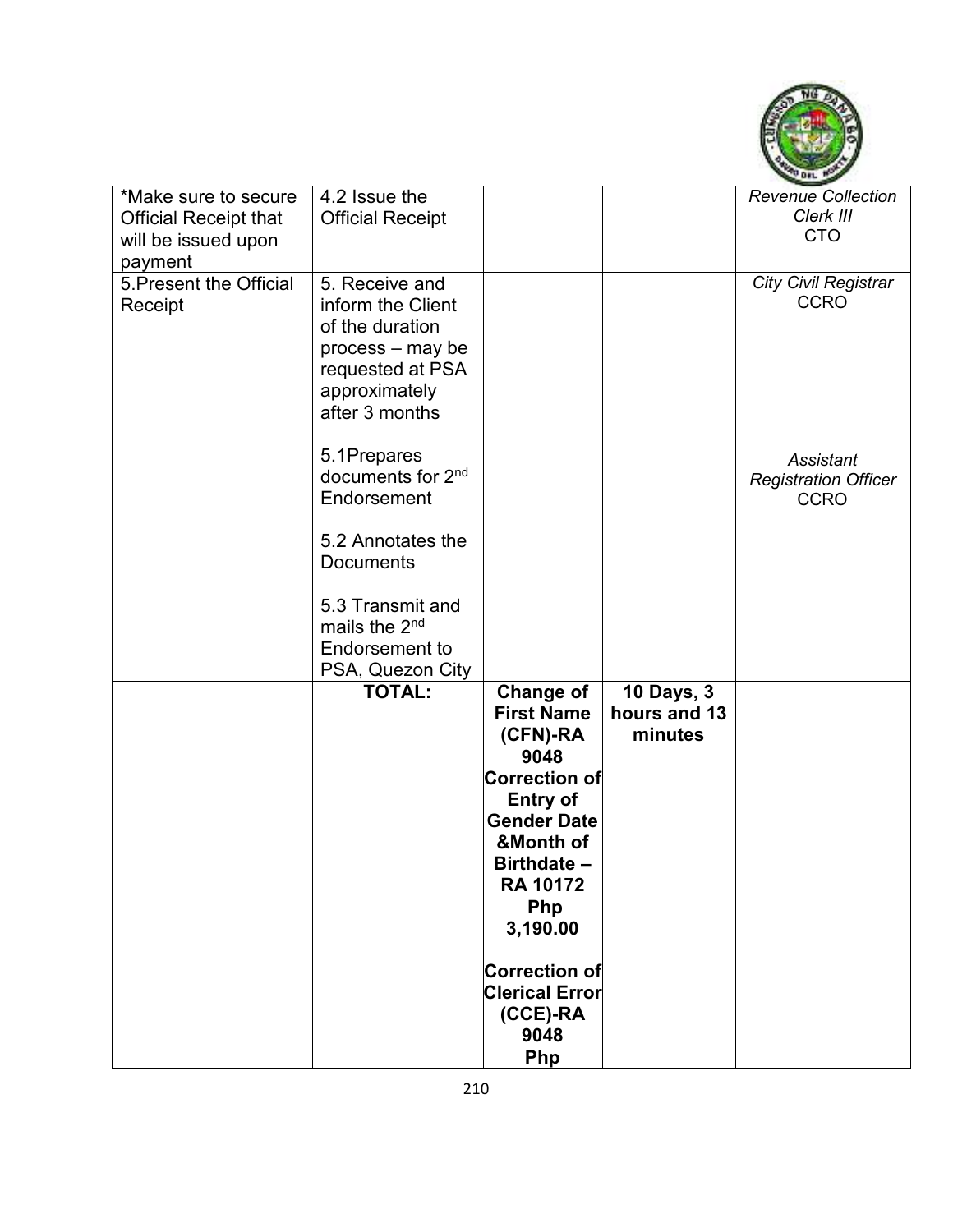

| *Make sure to secure         | 4.2 Issue the                 |                       |                   | <b>Revenue Collection</b>   |
|------------------------------|-------------------------------|-----------------------|-------------------|-----------------------------|
| <b>Official Receipt that</b> | <b>Official Receipt</b>       |                       |                   | Clerk III                   |
| will be issued upon          |                               |                       |                   | <b>CTO</b>                  |
| payment                      |                               |                       |                   |                             |
| 5. Present the Official      | 5. Receive and                |                       |                   | <b>City Civil Registrar</b> |
| Receipt                      | inform the Client             |                       |                   | <b>CCRO</b>                 |
|                              | of the duration               |                       |                   |                             |
|                              |                               |                       |                   |                             |
|                              | process - may be              |                       |                   |                             |
|                              | requested at PSA              |                       |                   |                             |
|                              | approximately                 |                       |                   |                             |
|                              | after 3 months                |                       |                   |                             |
|                              |                               |                       |                   |                             |
|                              | 5.1Prepares                   |                       |                   | Assistant                   |
|                              | documents for 2 <sup>nd</sup> |                       |                   | <b>Registration Officer</b> |
|                              | Endorsement                   |                       |                   | <b>CCRO</b>                 |
|                              |                               |                       |                   |                             |
|                              | 5.2 Annotates the             |                       |                   |                             |
|                              | <b>Documents</b>              |                       |                   |                             |
|                              |                               |                       |                   |                             |
|                              | 5.3 Transmit and              |                       |                   |                             |
|                              |                               |                       |                   |                             |
|                              | mails the 2 <sup>nd</sup>     |                       |                   |                             |
|                              | Endorsement to                |                       |                   |                             |
|                              | PSA, Quezon City              |                       |                   |                             |
|                              | <b>TOTAL:</b>                 | <b>Change of</b>      | <b>10 Days, 3</b> |                             |
|                              |                               | <b>First Name</b>     | hours and 13      |                             |
|                              |                               | (CFN)-RA              | minutes           |                             |
|                              |                               | 9048                  |                   |                             |
|                              |                               | <b>Correction of</b>  |                   |                             |
|                              |                               | <b>Entry of</b>       |                   |                             |
|                              |                               | <b>Gender Date</b>    |                   |                             |
|                              |                               | &Month of             |                   |                             |
|                              |                               | Birthdate -           |                   |                             |
|                              |                               | <b>RA 10172</b>       |                   |                             |
|                              |                               | Php                   |                   |                             |
|                              |                               |                       |                   |                             |
|                              |                               | 3,190.00              |                   |                             |
|                              |                               | <b>Correction of</b>  |                   |                             |
|                              |                               | <b>Clerical Error</b> |                   |                             |
|                              |                               | (CCE)-RA              |                   |                             |
|                              |                               | 9048                  |                   |                             |
|                              |                               | Php                   |                   |                             |
|                              |                               |                       |                   |                             |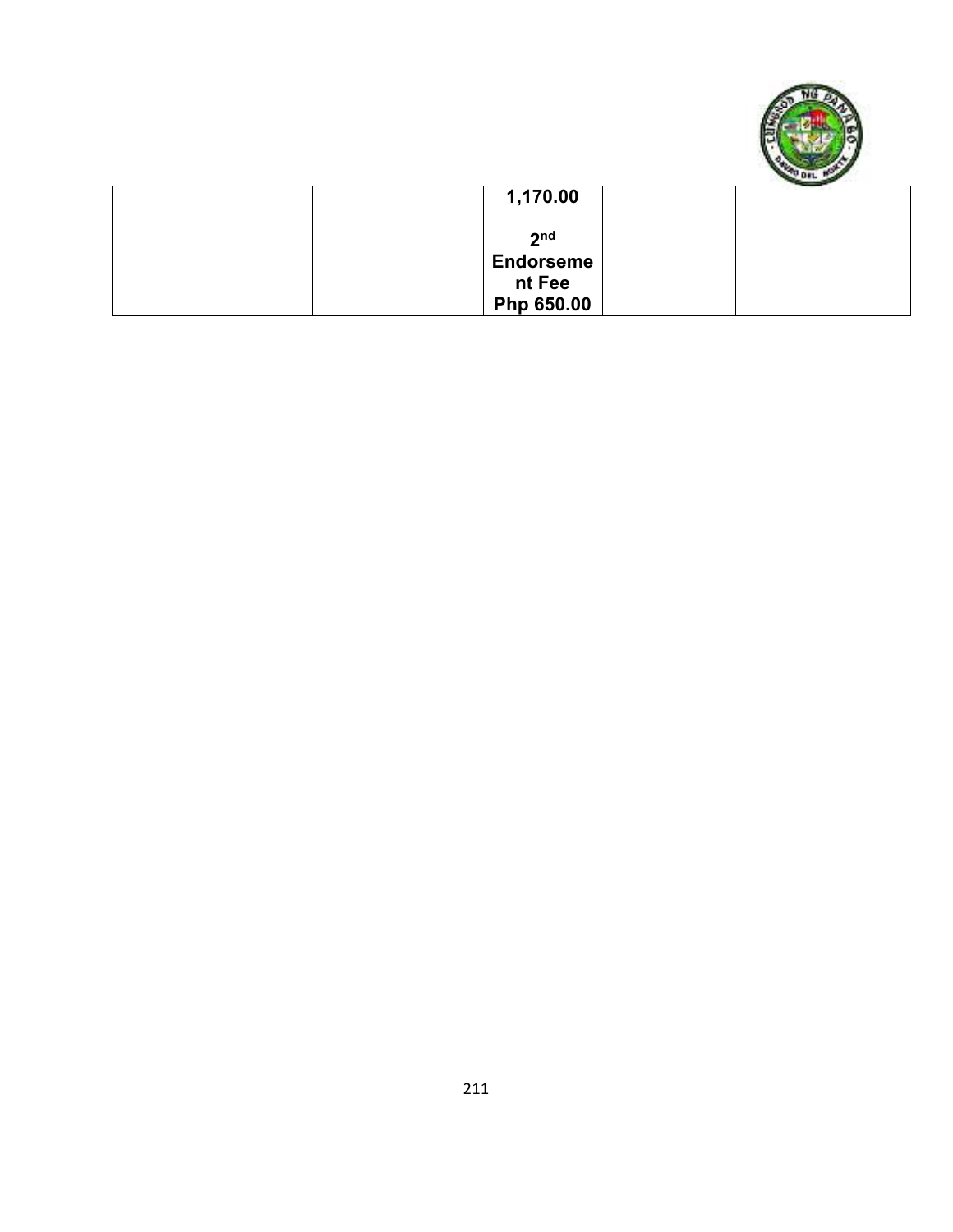

| 1,170.00         |  |
|------------------|--|
| 2 <sub>nd</sub>  |  |
| <b>Endorseme</b> |  |
| nt Fee           |  |
| Php 650.00       |  |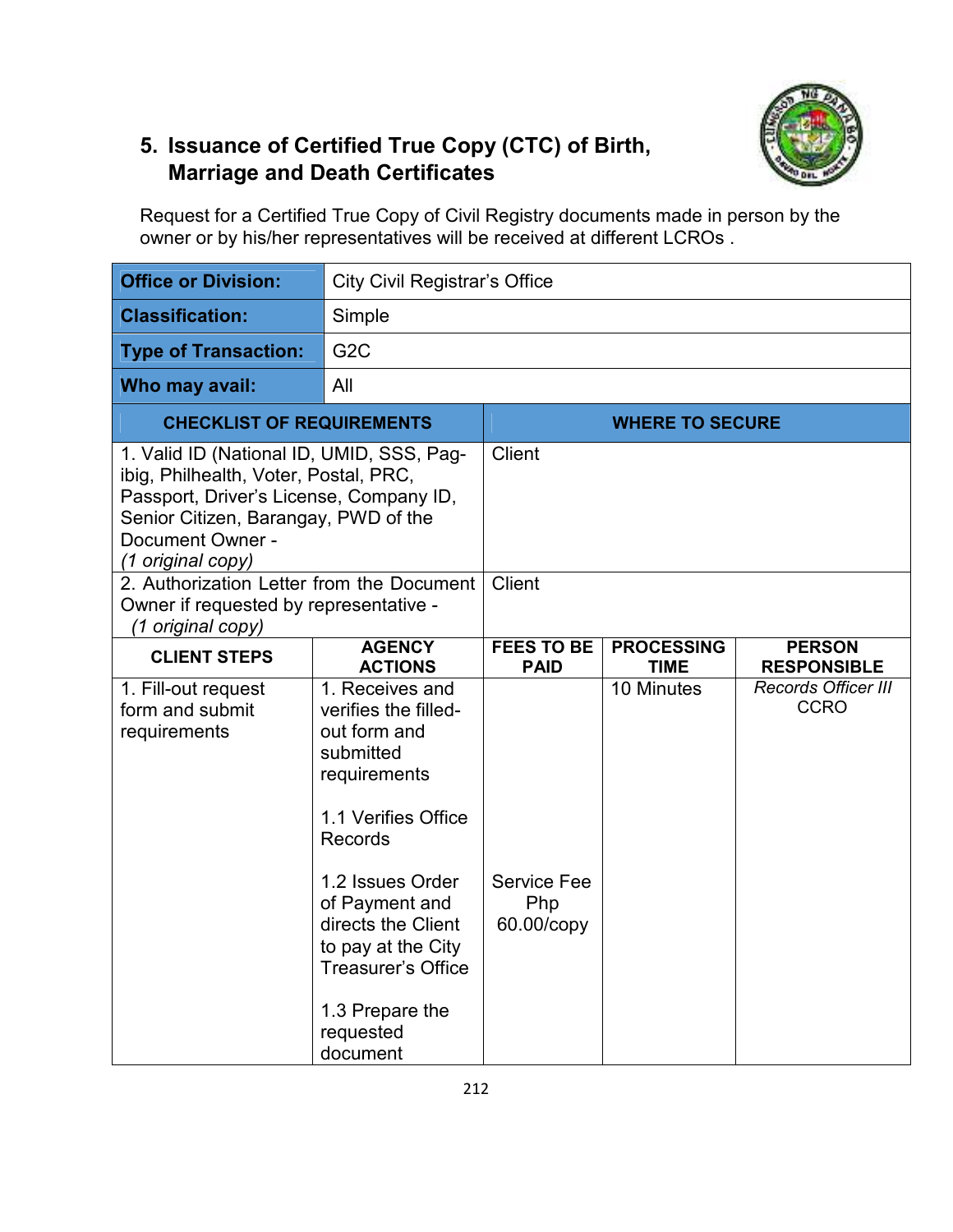

## **5. Issuance of Certified True Copy (CTC) of Birth, Marriage and Death Certificates**

Request for a Certified True Copy of Civil Registry documents made in person by the owner or by his/her representatives will be received at different LCROs .

| <b>Office or Division:</b>                                                                                                                                                                                     | <b>City Civil Registrar's Office</b>                                                                                                                                                                                                                                                     |                                         |                                  |                                           |  |
|----------------------------------------------------------------------------------------------------------------------------------------------------------------------------------------------------------------|------------------------------------------------------------------------------------------------------------------------------------------------------------------------------------------------------------------------------------------------------------------------------------------|-----------------------------------------|----------------------------------|-------------------------------------------|--|
| <b>Classification:</b>                                                                                                                                                                                         | Simple                                                                                                                                                                                                                                                                                   |                                         |                                  |                                           |  |
| <b>Type of Transaction:</b>                                                                                                                                                                                    | G <sub>2</sub> C                                                                                                                                                                                                                                                                         |                                         |                                  |                                           |  |
| Who may avail:                                                                                                                                                                                                 | All                                                                                                                                                                                                                                                                                      |                                         |                                  |                                           |  |
| <b>CHECKLIST OF REQUIREMENTS</b>                                                                                                                                                                               |                                                                                                                                                                                                                                                                                          |                                         | <b>WHERE TO SECURE</b>           |                                           |  |
| 1. Valid ID (National ID, UMID, SSS, Pag-<br>ibig, Philhealth, Voter, Postal, PRC,<br>Passport, Driver's License, Company ID,<br>Senior Citizen, Barangay, PWD of the<br>Document Owner -<br>(1 original copy) |                                                                                                                                                                                                                                                                                          | <b>Client</b>                           |                                  |                                           |  |
| 2. Authorization Letter from the Document<br>Owner if requested by representative -<br>(1 original copy)                                                                                                       |                                                                                                                                                                                                                                                                                          | Client                                  |                                  |                                           |  |
| <b>CLIENT STEPS</b>                                                                                                                                                                                            | <b>AGENCY</b><br><b>ACTIONS</b>                                                                                                                                                                                                                                                          | <b>FEES TO BE</b><br><b>PAID</b>        | <b>PROCESSING</b><br><b>TIME</b> | <b>PERSON</b><br><b>RESPONSIBLE</b>       |  |
| 1. Fill-out request<br>form and submit<br>requirements                                                                                                                                                         | 1. Receives and<br>verifies the filled-<br>out form and<br>submitted<br>requirements<br>1.1 Verifies Office<br><b>Records</b><br>1.2 Issues Order<br>of Payment and<br>directs the Client<br>to pay at the City<br><b>Treasurer's Office</b><br>1.3 Prepare the<br>requested<br>document | <b>Service Fee</b><br>Php<br>60.00/copy | $\overline{10}$ Minutes          | <b>Records Officer III</b><br><b>CCRO</b> |  |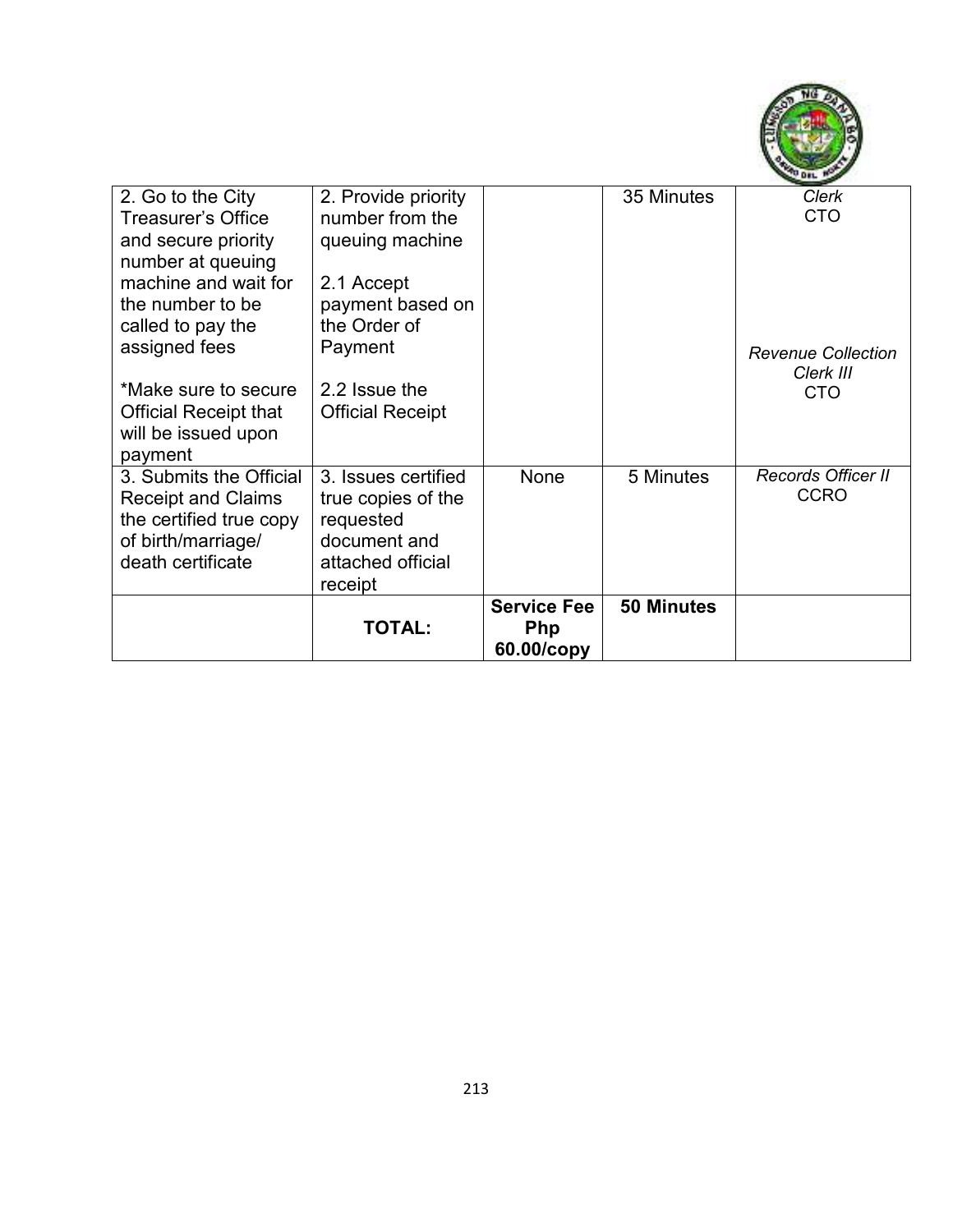

| 2. Go to the City<br><b>Treasurer's Office</b><br>and secure priority<br>number at queuing<br>machine and wait for<br>the number to be | 2. Provide priority<br>number from the<br>queuing machine<br>2.1 Accept<br>payment based on<br>the Order of |                                                | 35 Minutes        | <b>Clerk</b><br><b>CTO</b>                           |
|----------------------------------------------------------------------------------------------------------------------------------------|-------------------------------------------------------------------------------------------------------------|------------------------------------------------|-------------------|------------------------------------------------------|
| called to pay the<br>assigned fees<br>*Make sure to secure<br><b>Official Receipt that</b><br>will be issued upon<br>payment           | Payment<br>2.2 Issue the<br><b>Official Receipt</b>                                                         |                                                |                   | <b>Revenue Collection</b><br>Clerk III<br><b>CTO</b> |
| 3. Submits the Official<br><b>Receipt and Claims</b><br>the certified true copy<br>of birth/marriage/<br>death certificate             | 3. Issues certified<br>true copies of the<br>requested<br>document and<br>attached official<br>receipt      | None                                           | 5 Minutes         | Records Officer II<br><b>CCRO</b>                    |
|                                                                                                                                        | <b>TOTAL:</b>                                                                                               | <b>Service Fee</b><br><b>Php</b><br>60.00/copy | <b>50 Minutes</b> |                                                      |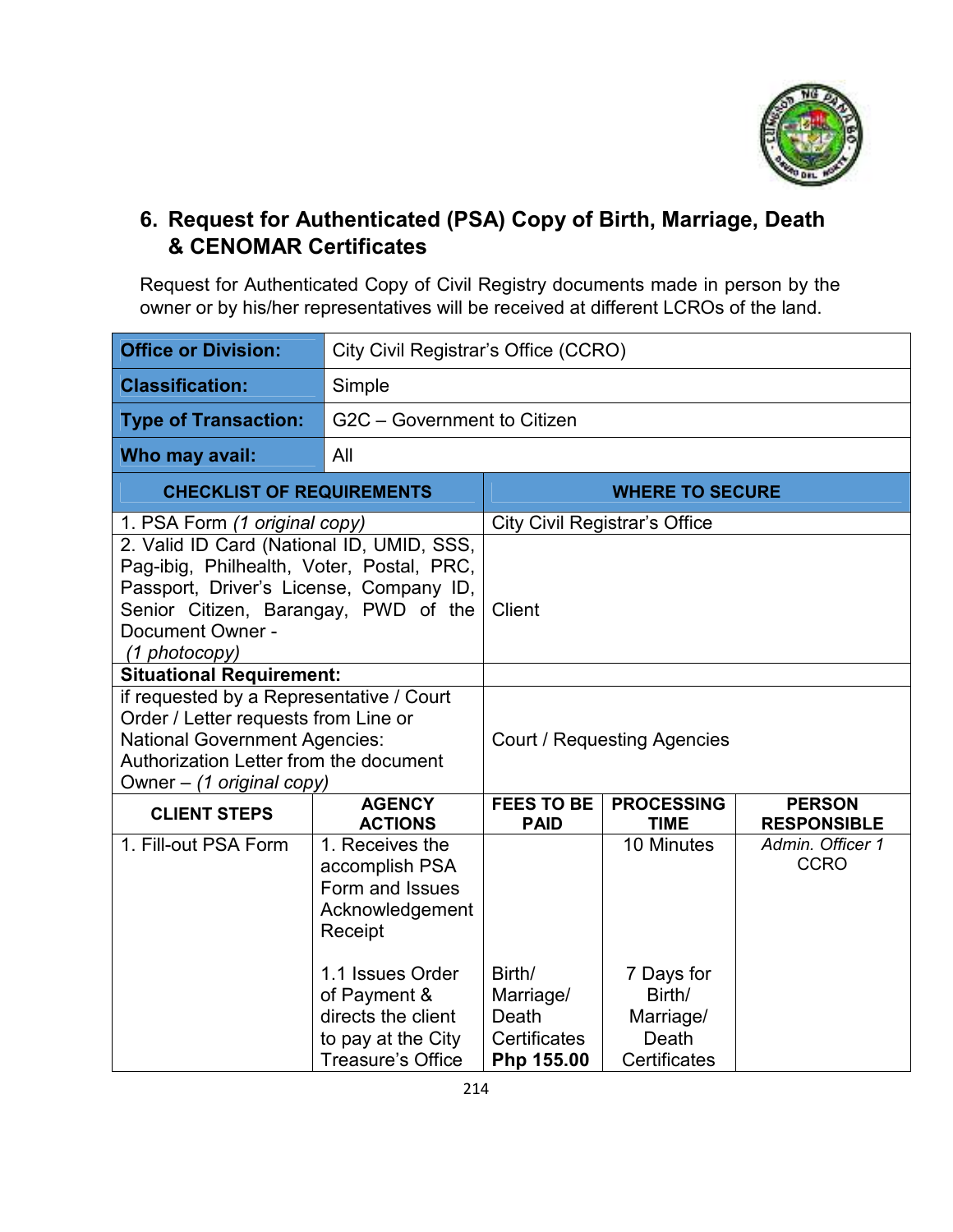

### **6. Request for Authenticated (PSA) Copy of Birth, Marriage, Death & CENOMAR Certificates**

Request for Authenticated Copy of Civil Registry documents made in person by the owner or by his/her representatives will be received at different LCROs of the land.

| City Civil Registrar's Office (CCRO)                                                                                                                                                            |                                                                               |                                                          |                                                                                                      |  |
|-------------------------------------------------------------------------------------------------------------------------------------------------------------------------------------------------|-------------------------------------------------------------------------------|----------------------------------------------------------|------------------------------------------------------------------------------------------------------|--|
| Simple                                                                                                                                                                                          |                                                                               |                                                          |                                                                                                      |  |
| G2C - Government to Citizen                                                                                                                                                                     |                                                                               |                                                          |                                                                                                      |  |
| All                                                                                                                                                                                             |                                                                               |                                                          |                                                                                                      |  |
| <b>CHECKLIST OF REQUIREMENTS</b>                                                                                                                                                                |                                                                               |                                                          |                                                                                                      |  |
| 1. PSA Form (1 original copy)                                                                                                                                                                   |                                                                               |                                                          |                                                                                                      |  |
| 2. Valid ID Card (National ID, UMID, SSS,<br>Pag-ibig, Philhealth, Voter, Postal, PRC,<br>Passport, Driver's License, Company ID,<br>Senior Citizen, Barangay, PWD of the                       | Client                                                                        |                                                          |                                                                                                      |  |
|                                                                                                                                                                                                 |                                                                               |                                                          |                                                                                                      |  |
| if requested by a Representative / Court<br>Order / Letter requests from Line or<br><b>National Government Agencies:</b><br>Authorization Letter from the document<br>Owner - (1 original copy) |                                                                               | <b>Court / Requesting Agencies</b>                       |                                                                                                      |  |
| <b>AGENCY</b>                                                                                                                                                                                   | <b>FEES TO BE</b>                                                             | <b>PROCESSING</b>                                        | <b>PERSON</b><br><b>RESPONSIBLE</b>                                                                  |  |
| 1. Receives the<br>accomplish PSA<br>Form and Issues<br>Acknowledgement<br>Receipt<br>1.1 Issues Order<br>of Payment &<br>directs the client<br>to pay at the City                              | Birth/<br>Marriage/<br>Death<br><b>Certificates</b>                           | 10 Minutes<br>7 Days for<br>Birth/<br>Marriage/<br>Death | Admin. Officer 1<br><b>CCRO</b>                                                                      |  |
|                                                                                                                                                                                                 | <b>Situational Requirement:</b><br><b>ACTIONS</b><br><b>Treasure's Office</b> | <b>PAID</b><br>Php 155.00                                | <b>WHERE TO SECURE</b><br><b>City Civil Registrar's Office</b><br><b>TIME</b><br><b>Certificates</b> |  |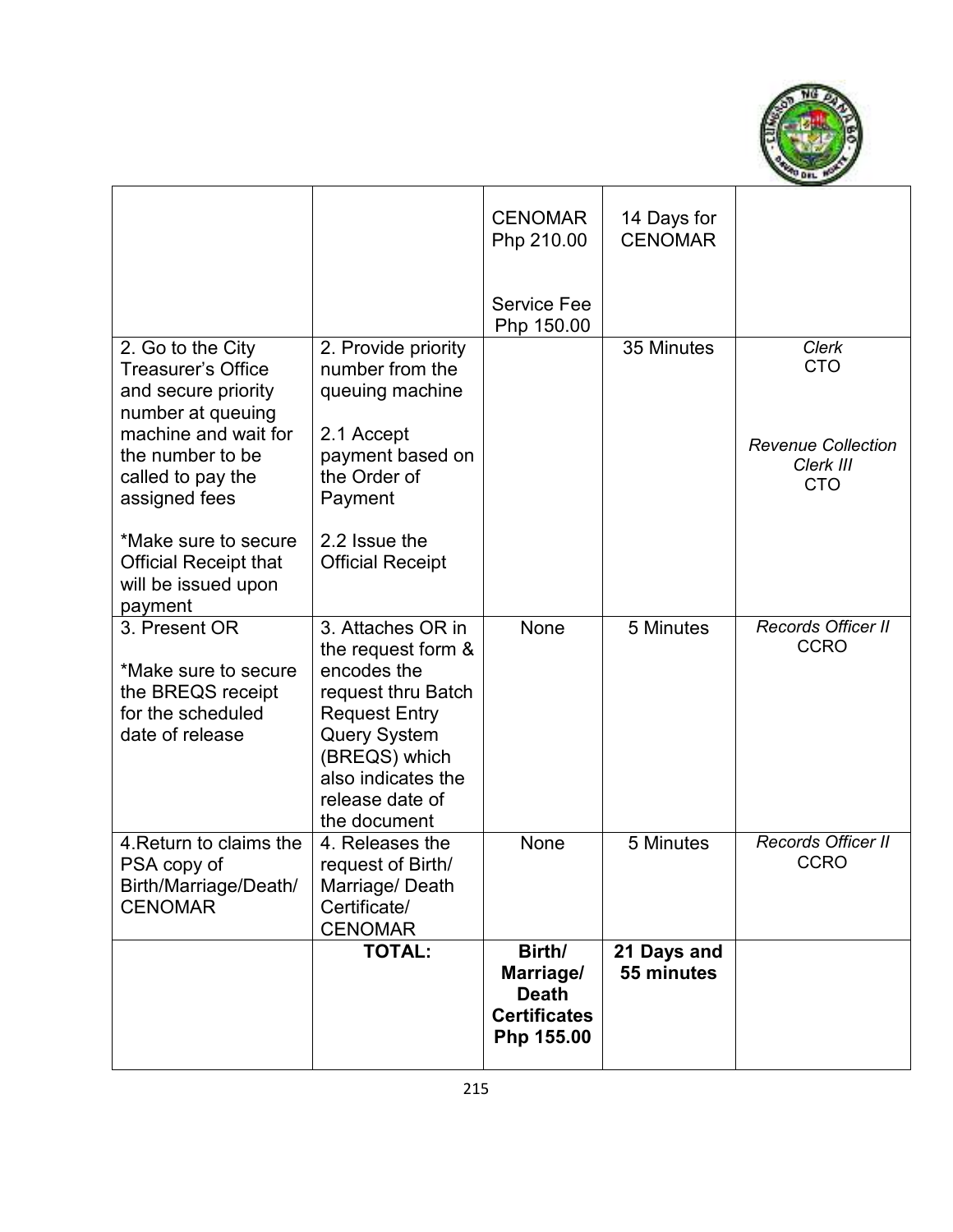

|                                                                                                    |                                                                                                                                                                                                       | <b>CENOMAR</b><br>Php 210.00                                             | 14 Days for<br><b>CENOMAR</b> |                                                      |
|----------------------------------------------------------------------------------------------------|-------------------------------------------------------------------------------------------------------------------------------------------------------------------------------------------------------|--------------------------------------------------------------------------|-------------------------------|------------------------------------------------------|
|                                                                                                    |                                                                                                                                                                                                       | Service Fee<br>Php 150.00                                                |                               |                                                      |
| 2. Go to the City<br>Treasurer's Office<br>and secure priority<br>number at queuing                | 2. Provide priority<br>number from the<br>queuing machine                                                                                                                                             |                                                                          | 35 Minutes                    | <b>Clerk</b><br><b>CTO</b>                           |
| machine and wait for<br>the number to be<br>called to pay the<br>assigned fees                     | 2.1 Accept<br>payment based on<br>the Order of<br>Payment                                                                                                                                             |                                                                          |                               | <b>Revenue Collection</b><br>Clerk III<br><b>CTO</b> |
| *Make sure to secure<br><b>Official Receipt that</b><br>will be issued upon<br>payment             | 2.2 Issue the<br><b>Official Receipt</b>                                                                                                                                                              |                                                                          |                               |                                                      |
| 3. Present OR<br>*Make sure to secure<br>the BREQS receipt<br>for the scheduled<br>date of release | 3. Attaches OR in<br>the request form &<br>encodes the<br>request thru Batch<br><b>Request Entry</b><br><b>Query System</b><br>(BREQS) which<br>also indicates the<br>release date of<br>the document | None                                                                     | 5 Minutes                     | <b>Records Officer II</b><br><b>CCRO</b>             |
| 4. Return to claims the<br>PSA copy of<br>Birth/Marriage/Death/<br><b>CENOMAR</b>                  | 4. Releases the<br>request of Birth/<br>Marriage/Death<br>Certificate/<br><b>CENOMAR</b>                                                                                                              | None                                                                     | 5 Minutes                     | Records Officer II<br><b>CCRO</b>                    |
|                                                                                                    | <b>TOTAL:</b>                                                                                                                                                                                         | Birth/<br>Marriage/<br><b>Death</b><br><b>Certificates</b><br>Php 155.00 | 21 Days and<br>55 minutes     |                                                      |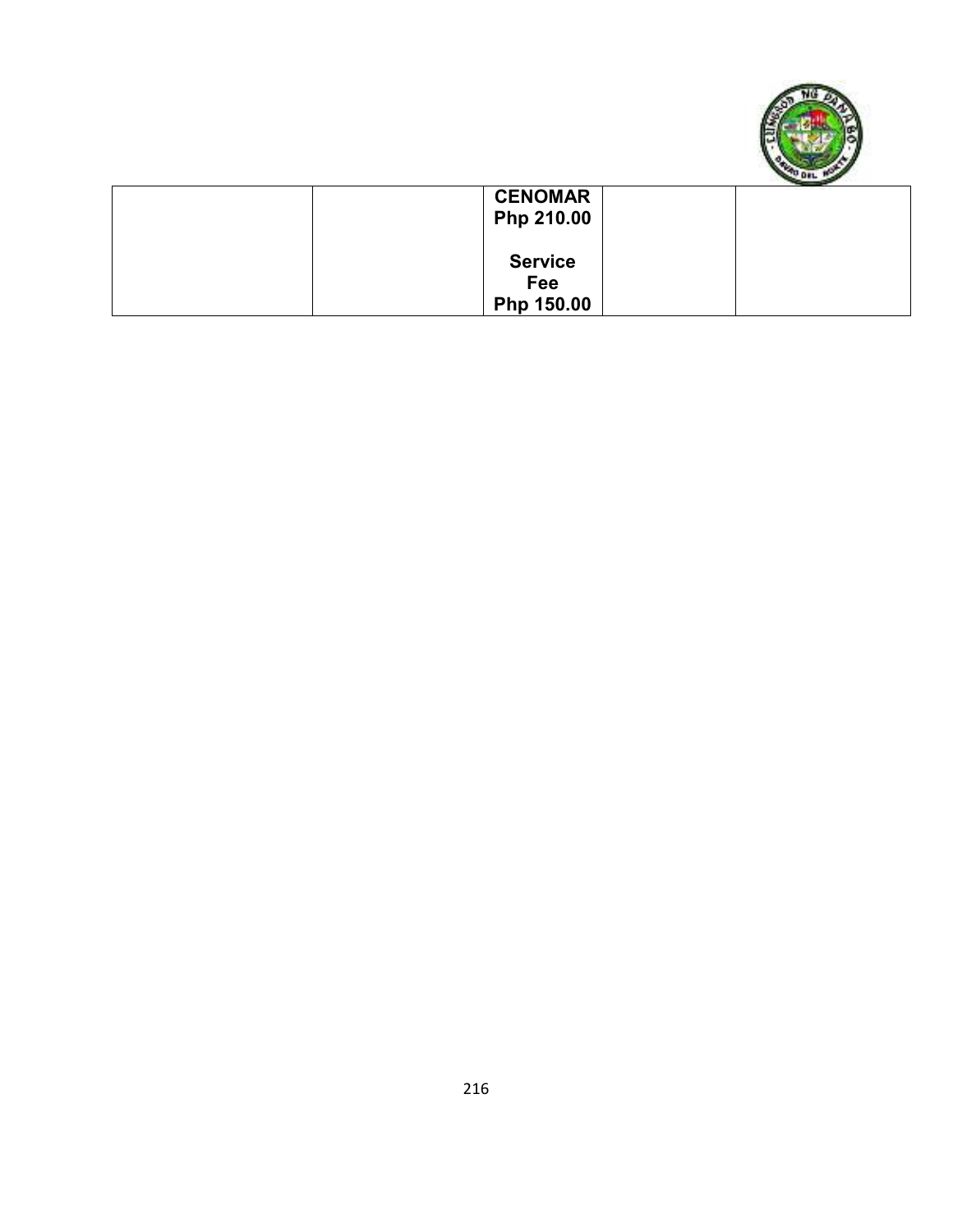

| <b>CENOMAR</b> |  |
|----------------|--|
| Php 210.00     |  |
|                |  |
| <b>Service</b> |  |
| Fee            |  |
| Php 150.00     |  |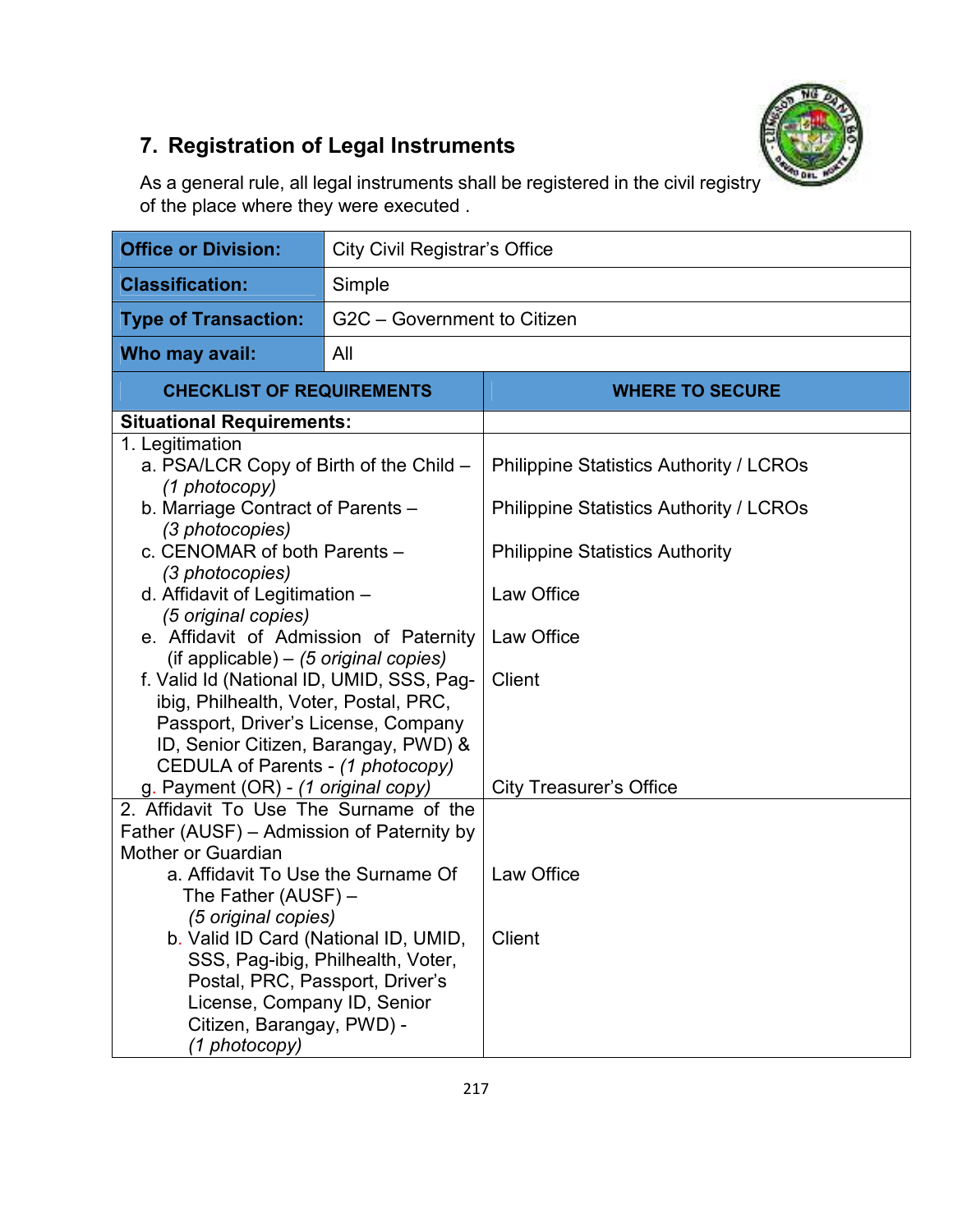

# **7. Registration of Legal Instruments**

As a general rule, all legal instruments shall be registered in the civil registry of the place where they were executed .

| <b>Office or Division:</b>                                  | <b>City Civil Registrar's Office</b> |                                                |  |  |
|-------------------------------------------------------------|--------------------------------------|------------------------------------------------|--|--|
| <b>Classification:</b>                                      | Simple                               |                                                |  |  |
| <b>Type of Transaction:</b>                                 | G2C - Government to Citizen          |                                                |  |  |
| Who may avail:                                              | All                                  |                                                |  |  |
| <b>CHECKLIST OF REQUIREMENTS</b>                            |                                      | <b>WHERE TO SECURE</b>                         |  |  |
| <b>Situational Requirements:</b>                            |                                      |                                                |  |  |
| 1. Legitimation                                             |                                      |                                                |  |  |
| a. PSA/LCR Copy of Birth of the Child -                     |                                      | <b>Philippine Statistics Authority / LCROs</b> |  |  |
| (1 photocopy)                                               |                                      |                                                |  |  |
| b. Marriage Contract of Parents -                           |                                      | <b>Philippine Statistics Authority / LCROs</b> |  |  |
| (3 photocopies)                                             |                                      |                                                |  |  |
| c. CENOMAR of both Parents -                                |                                      | <b>Philippine Statistics Authority</b>         |  |  |
| (3 photocopies)                                             |                                      |                                                |  |  |
| d. Affidavit of Legitimation -<br>(5 original copies)       |                                      | Law Office                                     |  |  |
| e. Affidavit of Admission of Paternity                      |                                      | Law Office                                     |  |  |
| $($ if applicable $) - (5 \text{ original copies})$         |                                      |                                                |  |  |
| f. Valid Id (National ID, UMID, SSS, Pag-                   |                                      | <b>Client</b>                                  |  |  |
| ibig, Philhealth, Voter, Postal, PRC,                       |                                      |                                                |  |  |
| Passport, Driver's License, Company                         |                                      |                                                |  |  |
| ID, Senior Citizen, Barangay, PWD) &                        |                                      |                                                |  |  |
| CEDULA of Parents - (1 photocopy)                           |                                      |                                                |  |  |
| g. Payment (OR) - (1 original copy)                         |                                      | <b>City Treasurer's Office</b>                 |  |  |
| 2. Affidavit To Use The Surname of the                      |                                      |                                                |  |  |
| Father (AUSF) – Admission of Paternity by                   |                                      |                                                |  |  |
| Mother or Guardian                                          |                                      |                                                |  |  |
| a. Affidavit To Use the Surname Of                          |                                      | Law Office                                     |  |  |
| The Father $(AUSE)$ –                                       |                                      |                                                |  |  |
| (5 original copies)<br>b. Valid ID Card (National ID, UMID, |                                      | Client                                         |  |  |
| SSS, Pag-ibig, Philhealth, Voter,                           |                                      |                                                |  |  |
| Postal, PRC, Passport, Driver's                             |                                      |                                                |  |  |
| License, Company ID, Senior                                 |                                      |                                                |  |  |
| Citizen, Barangay, PWD) -                                   |                                      |                                                |  |  |
| (1 photocopy)                                               |                                      |                                                |  |  |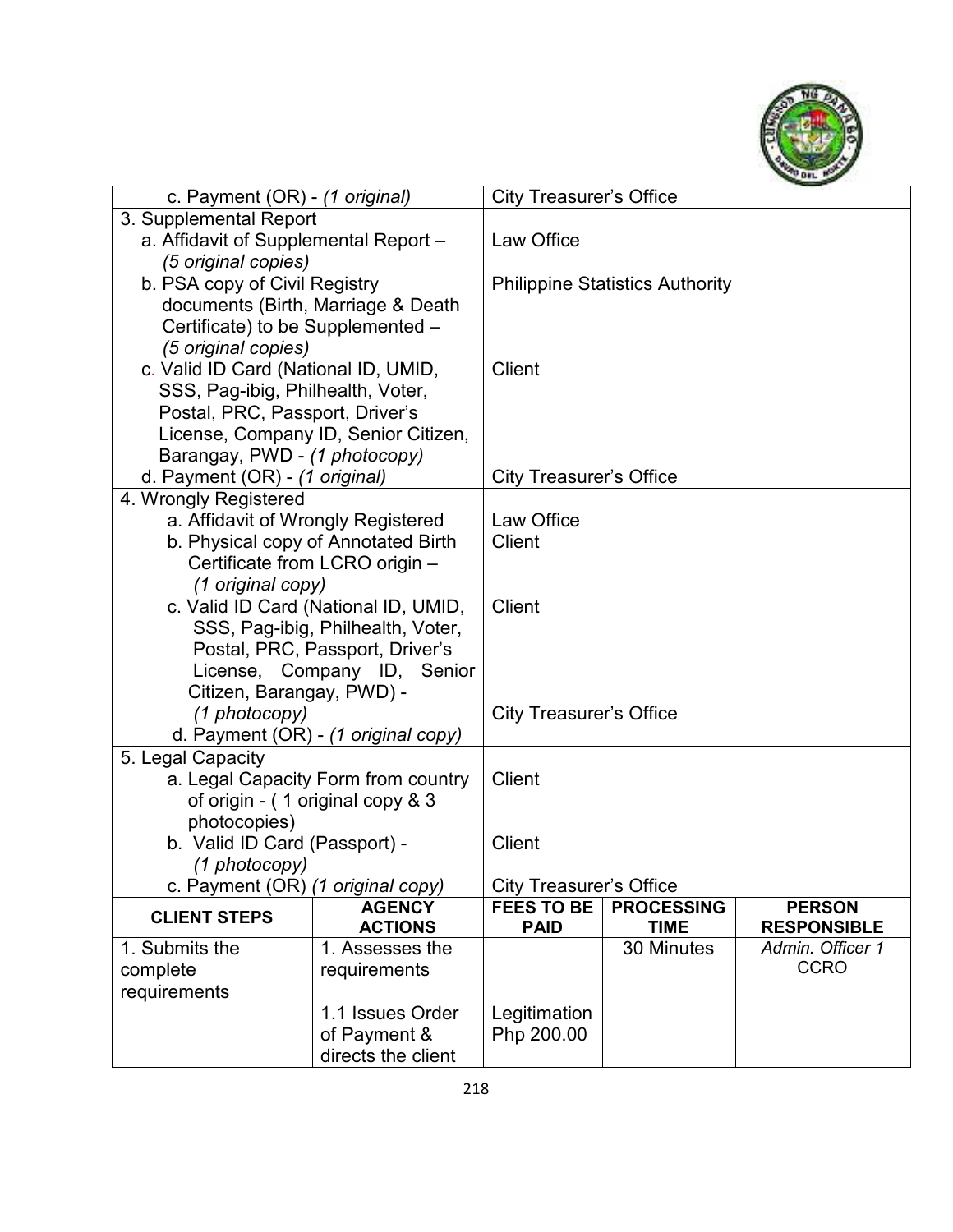

| 3. Supplemental Report<br>a. Affidavit of Supplemental Report -<br><b>Law Office</b><br>(5 original copies)<br>b. PSA copy of Civil Registry<br><b>Philippine Statistics Authority</b><br>documents (Birth, Marriage & Death<br>Certificate) to be Supplemented -<br>(5 original copies)<br>c. Valid ID Card (National ID, UMID,<br>Client<br>SSS, Pag-ibig, Philhealth, Voter,<br>Postal, PRC, Passport, Driver's<br>License, Company ID, Senior Citizen,<br>Barangay, PWD - (1 photocopy)<br>d. Payment (OR) - (1 original)<br><b>City Treasurer's Office</b><br>4. Wrongly Registered<br>Law Office<br>a. Affidavit of Wrongly Registered<br>b. Physical copy of Annotated Birth<br>Client<br>Certificate from LCRO origin -<br>(1 original copy)<br>c. Valid ID Card (National ID, UMID,<br><b>Client</b><br>SSS, Pag-ibig, Philhealth, Voter,<br>Postal, PRC, Passport, Driver's<br>License, Company ID, Senior<br>Citizen, Barangay, PWD) -<br>(1 photocopy)<br><b>City Treasurer's Office</b><br>d. Payment (OR) - (1 original copy)<br>5. Legal Capacity<br><b>Client</b><br>a. Legal Capacity Form from country<br>of origin - (1 original copy & 3<br>photocopies)<br>b. Valid ID Card (Passport) -<br>Client<br>(1 photocopy)<br>c. Payment (OR) (1 original copy)<br><b>City Treasurer's Office</b><br><b>AGENCY</b><br><b>FEES TO BE</b><br><b>PROCESSING</b><br><b>PERSON</b><br><b>CLIENT STEPS</b> |
|--------------------------------------------------------------------------------------------------------------------------------------------------------------------------------------------------------------------------------------------------------------------------------------------------------------------------------------------------------------------------------------------------------------------------------------------------------------------------------------------------------------------------------------------------------------------------------------------------------------------------------------------------------------------------------------------------------------------------------------------------------------------------------------------------------------------------------------------------------------------------------------------------------------------------------------------------------------------------------------------------------------------------------------------------------------------------------------------------------------------------------------------------------------------------------------------------------------------------------------------------------------------------------------------------------------------------------------------------------------------------------------------------------------------|
|                                                                                                                                                                                                                                                                                                                                                                                                                                                                                                                                                                                                                                                                                                                                                                                                                                                                                                                                                                                                                                                                                                                                                                                                                                                                                                                                                                                                                    |
|                                                                                                                                                                                                                                                                                                                                                                                                                                                                                                                                                                                                                                                                                                                                                                                                                                                                                                                                                                                                                                                                                                                                                                                                                                                                                                                                                                                                                    |
|                                                                                                                                                                                                                                                                                                                                                                                                                                                                                                                                                                                                                                                                                                                                                                                                                                                                                                                                                                                                                                                                                                                                                                                                                                                                                                                                                                                                                    |
|                                                                                                                                                                                                                                                                                                                                                                                                                                                                                                                                                                                                                                                                                                                                                                                                                                                                                                                                                                                                                                                                                                                                                                                                                                                                                                                                                                                                                    |
|                                                                                                                                                                                                                                                                                                                                                                                                                                                                                                                                                                                                                                                                                                                                                                                                                                                                                                                                                                                                                                                                                                                                                                                                                                                                                                                                                                                                                    |
|                                                                                                                                                                                                                                                                                                                                                                                                                                                                                                                                                                                                                                                                                                                                                                                                                                                                                                                                                                                                                                                                                                                                                                                                                                                                                                                                                                                                                    |
|                                                                                                                                                                                                                                                                                                                                                                                                                                                                                                                                                                                                                                                                                                                                                                                                                                                                                                                                                                                                                                                                                                                                                                                                                                                                                                                                                                                                                    |
|                                                                                                                                                                                                                                                                                                                                                                                                                                                                                                                                                                                                                                                                                                                                                                                                                                                                                                                                                                                                                                                                                                                                                                                                                                                                                                                                                                                                                    |
|                                                                                                                                                                                                                                                                                                                                                                                                                                                                                                                                                                                                                                                                                                                                                                                                                                                                                                                                                                                                                                                                                                                                                                                                                                                                                                                                                                                                                    |
|                                                                                                                                                                                                                                                                                                                                                                                                                                                                                                                                                                                                                                                                                                                                                                                                                                                                                                                                                                                                                                                                                                                                                                                                                                                                                                                                                                                                                    |
|                                                                                                                                                                                                                                                                                                                                                                                                                                                                                                                                                                                                                                                                                                                                                                                                                                                                                                                                                                                                                                                                                                                                                                                                                                                                                                                                                                                                                    |
|                                                                                                                                                                                                                                                                                                                                                                                                                                                                                                                                                                                                                                                                                                                                                                                                                                                                                                                                                                                                                                                                                                                                                                                                                                                                                                                                                                                                                    |
|                                                                                                                                                                                                                                                                                                                                                                                                                                                                                                                                                                                                                                                                                                                                                                                                                                                                                                                                                                                                                                                                                                                                                                                                                                                                                                                                                                                                                    |
|                                                                                                                                                                                                                                                                                                                                                                                                                                                                                                                                                                                                                                                                                                                                                                                                                                                                                                                                                                                                                                                                                                                                                                                                                                                                                                                                                                                                                    |
|                                                                                                                                                                                                                                                                                                                                                                                                                                                                                                                                                                                                                                                                                                                                                                                                                                                                                                                                                                                                                                                                                                                                                                                                                                                                                                                                                                                                                    |
|                                                                                                                                                                                                                                                                                                                                                                                                                                                                                                                                                                                                                                                                                                                                                                                                                                                                                                                                                                                                                                                                                                                                                                                                                                                                                                                                                                                                                    |
|                                                                                                                                                                                                                                                                                                                                                                                                                                                                                                                                                                                                                                                                                                                                                                                                                                                                                                                                                                                                                                                                                                                                                                                                                                                                                                                                                                                                                    |
|                                                                                                                                                                                                                                                                                                                                                                                                                                                                                                                                                                                                                                                                                                                                                                                                                                                                                                                                                                                                                                                                                                                                                                                                                                                                                                                                                                                                                    |
|                                                                                                                                                                                                                                                                                                                                                                                                                                                                                                                                                                                                                                                                                                                                                                                                                                                                                                                                                                                                                                                                                                                                                                                                                                                                                                                                                                                                                    |
|                                                                                                                                                                                                                                                                                                                                                                                                                                                                                                                                                                                                                                                                                                                                                                                                                                                                                                                                                                                                                                                                                                                                                                                                                                                                                                                                                                                                                    |
|                                                                                                                                                                                                                                                                                                                                                                                                                                                                                                                                                                                                                                                                                                                                                                                                                                                                                                                                                                                                                                                                                                                                                                                                                                                                                                                                                                                                                    |
|                                                                                                                                                                                                                                                                                                                                                                                                                                                                                                                                                                                                                                                                                                                                                                                                                                                                                                                                                                                                                                                                                                                                                                                                                                                                                                                                                                                                                    |
|                                                                                                                                                                                                                                                                                                                                                                                                                                                                                                                                                                                                                                                                                                                                                                                                                                                                                                                                                                                                                                                                                                                                                                                                                                                                                                                                                                                                                    |
|                                                                                                                                                                                                                                                                                                                                                                                                                                                                                                                                                                                                                                                                                                                                                                                                                                                                                                                                                                                                                                                                                                                                                                                                                                                                                                                                                                                                                    |
|                                                                                                                                                                                                                                                                                                                                                                                                                                                                                                                                                                                                                                                                                                                                                                                                                                                                                                                                                                                                                                                                                                                                                                                                                                                                                                                                                                                                                    |
|                                                                                                                                                                                                                                                                                                                                                                                                                                                                                                                                                                                                                                                                                                                                                                                                                                                                                                                                                                                                                                                                                                                                                                                                                                                                                                                                                                                                                    |
|                                                                                                                                                                                                                                                                                                                                                                                                                                                                                                                                                                                                                                                                                                                                                                                                                                                                                                                                                                                                                                                                                                                                                                                                                                                                                                                                                                                                                    |
|                                                                                                                                                                                                                                                                                                                                                                                                                                                                                                                                                                                                                                                                                                                                                                                                                                                                                                                                                                                                                                                                                                                                                                                                                                                                                                                                                                                                                    |
|                                                                                                                                                                                                                                                                                                                                                                                                                                                                                                                                                                                                                                                                                                                                                                                                                                                                                                                                                                                                                                                                                                                                                                                                                                                                                                                                                                                                                    |
|                                                                                                                                                                                                                                                                                                                                                                                                                                                                                                                                                                                                                                                                                                                                                                                                                                                                                                                                                                                                                                                                                                                                                                                                                                                                                                                                                                                                                    |
|                                                                                                                                                                                                                                                                                                                                                                                                                                                                                                                                                                                                                                                                                                                                                                                                                                                                                                                                                                                                                                                                                                                                                                                                                                                                                                                                                                                                                    |
|                                                                                                                                                                                                                                                                                                                                                                                                                                                                                                                                                                                                                                                                                                                                                                                                                                                                                                                                                                                                                                                                                                                                                                                                                                                                                                                                                                                                                    |
| <b>PAID</b>                                                                                                                                                                                                                                                                                                                                                                                                                                                                                                                                                                                                                                                                                                                                                                                                                                                                                                                                                                                                                                                                                                                                                                                                                                                                                                                                                                                                        |
| <b>ACTIONS</b><br><b>TIME</b><br><b>RESPONSIBLE</b><br>1. Submits the<br>30 Minutes<br>Admin. Officer 1<br>1. Assesses the                                                                                                                                                                                                                                                                                                                                                                                                                                                                                                                                                                                                                                                                                                                                                                                                                                                                                                                                                                                                                                                                                                                                                                                                                                                                                         |
| <b>CCRO</b><br>complete<br>requirements                                                                                                                                                                                                                                                                                                                                                                                                                                                                                                                                                                                                                                                                                                                                                                                                                                                                                                                                                                                                                                                                                                                                                                                                                                                                                                                                                                            |
| requirements                                                                                                                                                                                                                                                                                                                                                                                                                                                                                                                                                                                                                                                                                                                                                                                                                                                                                                                                                                                                                                                                                                                                                                                                                                                                                                                                                                                                       |
| 1.1 Issues Order<br>Legitimation                                                                                                                                                                                                                                                                                                                                                                                                                                                                                                                                                                                                                                                                                                                                                                                                                                                                                                                                                                                                                                                                                                                                                                                                                                                                                                                                                                                   |
| of Payment &<br>Php 200.00                                                                                                                                                                                                                                                                                                                                                                                                                                                                                                                                                                                                                                                                                                                                                                                                                                                                                                                                                                                                                                                                                                                                                                                                                                                                                                                                                                                         |
| directs the client                                                                                                                                                                                                                                                                                                                                                                                                                                                                                                                                                                                                                                                                                                                                                                                                                                                                                                                                                                                                                                                                                                                                                                                                                                                                                                                                                                                                 |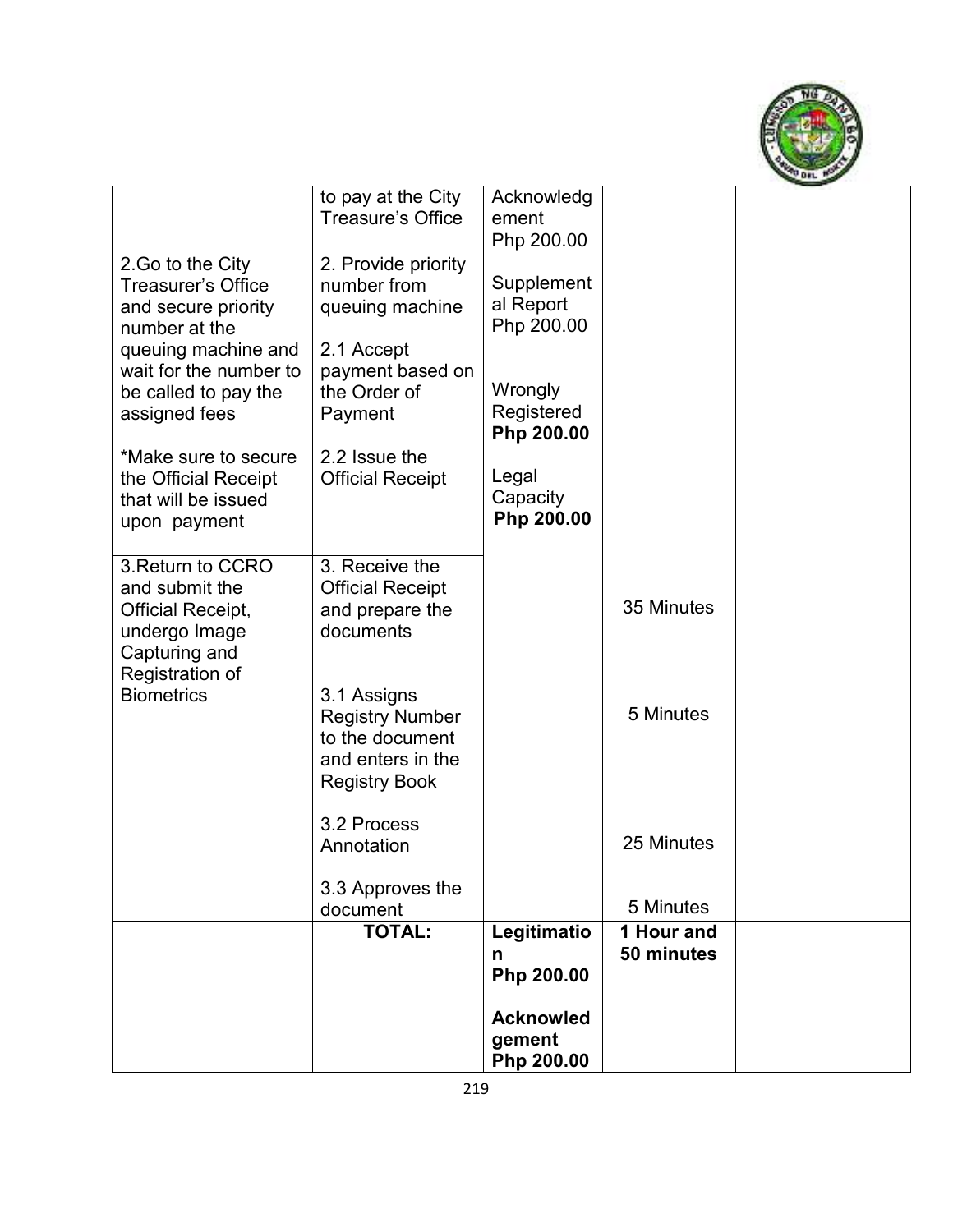

|                                                                                                   |                                                                                                       | <b>Acknowled</b><br>gement<br>Php 200.00 |                          |  |
|---------------------------------------------------------------------------------------------------|-------------------------------------------------------------------------------------------------------|------------------------------------------|--------------------------|--|
|                                                                                                   | <b>TOTAL:</b>                                                                                         | Legitimatio<br>n<br>Php 200.00           | 1 Hour and<br>50 minutes |  |
|                                                                                                   | 3.3 Approves the<br>document                                                                          |                                          | 5 Minutes                |  |
|                                                                                                   | 3.2 Process<br>Annotation                                                                             |                                          | 25 Minutes               |  |
| Registration of<br><b>Biometrics</b>                                                              | 3.1 Assigns<br><b>Registry Number</b><br>to the document<br>and enters in the<br><b>Registry Book</b> |                                          | 5 Minutes                |  |
| 3. Return to CCRO<br>and submit the<br><b>Official Receipt,</b><br>undergo Image<br>Capturing and | 3. Receive the<br><b>Official Receipt</b><br>and prepare the<br>documents                             |                                          | 35 Minutes               |  |
| *Make sure to secure<br>the Official Receipt<br>that will be issued<br>upon payment               | 2.2 Issue the<br><b>Official Receipt</b>                                                              | Legal<br>Capacity<br>Php 200.00          |                          |  |
| queuing machine and<br>wait for the number to<br>be called to pay the<br>assigned fees            | 2.1 Accept<br>payment based on<br>the Order of<br>Payment                                             | Wrongly<br>Registered<br>Php 200.00      |                          |  |
| 2. Go to the City<br><b>Treasurer's Office</b><br>and secure priority<br>number at the            | 2. Provide priority<br>number from<br>queuing machine                                                 | Supplement<br>al Report<br>Php 200.00    |                          |  |
|                                                                                                   | to pay at the City<br><b>Treasure's Office</b>                                                        | Acknowledg<br>ement<br>Php 200.00        |                          |  |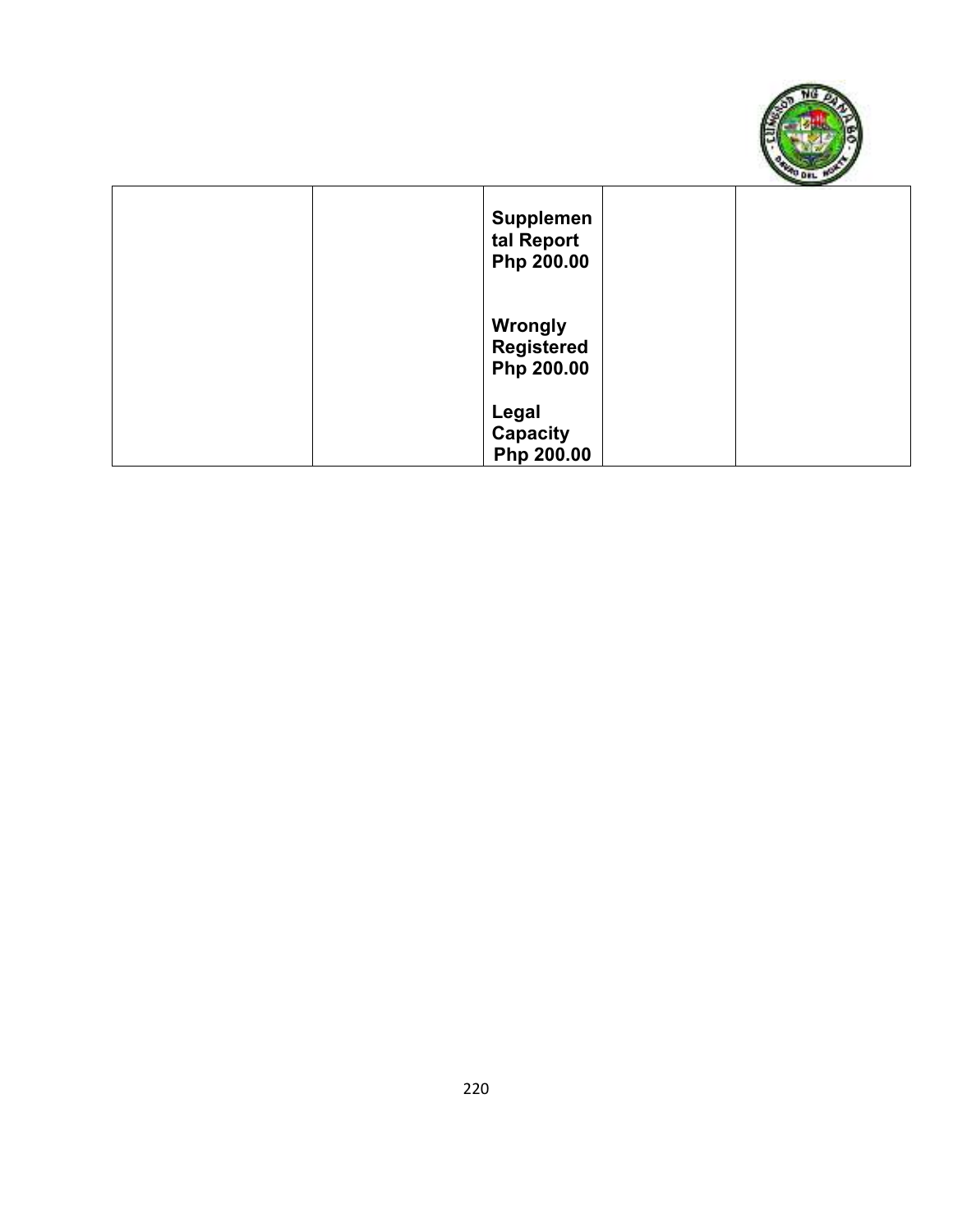

| <b>Supplemen</b><br>tal Report<br>Php 200.00      |  |
|---------------------------------------------------|--|
| <b>Wrongly</b><br><b>Registered</b><br>Php 200.00 |  |
| Legal<br><b>Capacity</b><br>Php 200.00            |  |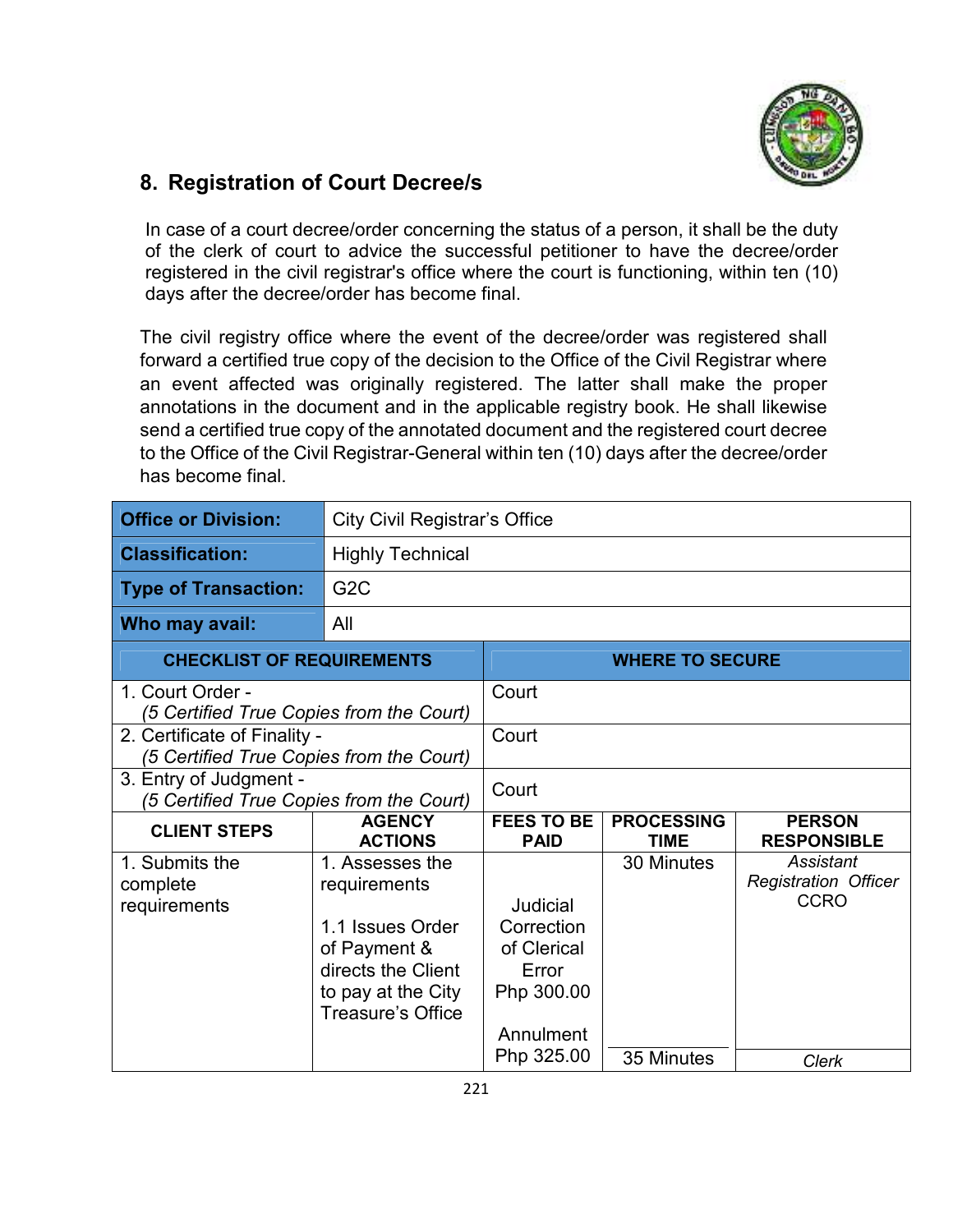

#### **8. Registration of Court Decree/s**

In case of a court decree/order concerning the status of a person, it shall be the duty of the clerk of court to advice the successful petitioner to have the decree/order registered in the civil registrar's office where the court is functioning, within ten (10) days after the decree/order has become final.

The civil registry office where the event of the decree/order was registered shall forward a certified true copy of the decision to the Office of the Civil Registrar where an event affected was originally registered. The latter shall make the proper annotations in the document and in the applicable registry book. He shall likewise send a certified true copy of the annotated document and the registered court decree to the Office of the Civil Registrar-General within ten (10) days after the decree/order has become final.

| <b>Office or Division:</b>                                               | <b>City Civil Registrar's Office</b>                                                                                                        |                                                                           |                                  |                                                         |
|--------------------------------------------------------------------------|---------------------------------------------------------------------------------------------------------------------------------------------|---------------------------------------------------------------------------|----------------------------------|---------------------------------------------------------|
| <b>Classification:</b>                                                   | <b>Highly Technical</b>                                                                                                                     |                                                                           |                                  |                                                         |
| <b>Type of Transaction:</b>                                              | G <sub>2</sub> C                                                                                                                            |                                                                           |                                  |                                                         |
| Who may avail:                                                           | All                                                                                                                                         |                                                                           |                                  |                                                         |
| <b>CHECKLIST OF REQUIREMENTS</b>                                         |                                                                                                                                             | <b>WHERE TO SECURE</b>                                                    |                                  |                                                         |
| 1. Court Order -<br>(5 Certified True Copies from the Court)             |                                                                                                                                             | Court                                                                     |                                  |                                                         |
| 2. Certificate of Finality -<br>(5 Certified True Copies from the Court) |                                                                                                                                             | Court                                                                     |                                  |                                                         |
| 3. Entry of Judgment -<br>(5 Certified True Copies from the Court)       |                                                                                                                                             | Court                                                                     |                                  |                                                         |
| <b>CLIENT STEPS</b>                                                      | <b>AGENCY</b><br><b>ACTIONS</b>                                                                                                             | <b>FEES TO BE</b><br><b>PAID</b>                                          | <b>PROCESSING</b><br><b>TIME</b> | <b>PERSON</b><br><b>RESPONSIBLE</b>                     |
| 1. Submits the<br>complete<br>requirements                               | 1. Assesses the<br>requirements<br>1.1 Issues Order<br>of Payment &<br>directs the Client<br>to pay at the City<br><b>Treasure's Office</b> | Judicial<br>Correction<br>of Clerical<br>Error<br>Php 300.00<br>Annulment | 30 Minutes                       | Assistant<br><b>Registration Officer</b><br><b>CCRO</b> |
|                                                                          |                                                                                                                                             | Php 325.00                                                                | 35 Minutes                       | <b>Clerk</b>                                            |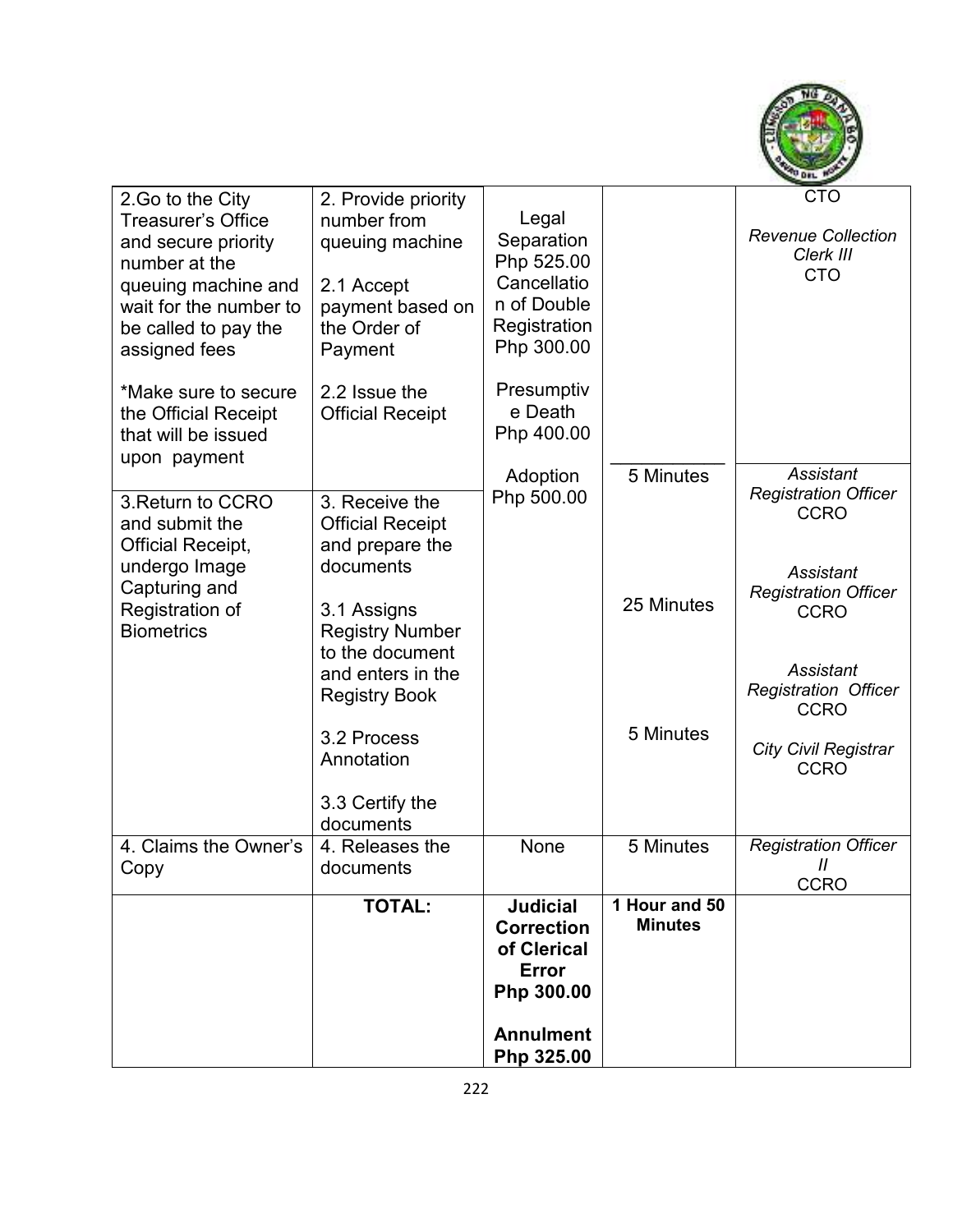

| 2. Go to the City                            | 2. Provide priority                      |                       |                | <b>CTO</b>                                      |
|----------------------------------------------|------------------------------------------|-----------------------|----------------|-------------------------------------------------|
| <b>Treasurer's Office</b>                    | number from                              | Legal                 |                |                                                 |
| and secure priority                          | queuing machine                          | Separation            |                | <b>Revenue Collection</b>                       |
| number at the                                |                                          | Php 525.00            |                | Clerk III<br><b>CTO</b>                         |
| queuing machine and                          | 2.1 Accept                               | Cancellatio           |                |                                                 |
| wait for the number to                       | payment based on                         | n of Double           |                |                                                 |
| be called to pay the                         | the Order of                             | Registration          |                |                                                 |
| assigned fees                                | Payment                                  | Php 300.00            |                |                                                 |
| *Make sure to secure<br>the Official Receipt | 2.2 Issue the<br><b>Official Receipt</b> | Presumptiv<br>e Death |                |                                                 |
| that will be issued                          |                                          | Php 400.00            |                |                                                 |
| upon payment                                 |                                          | Adoption              | 5 Minutes      | <b>Assistant</b>                                |
| 3. Return to CCRO                            | 3. Receive the                           | Php 500.00            |                | <b>Registration Officer</b>                     |
| and submit the                               | <b>Official Receipt</b>                  |                       |                | <b>CCRO</b>                                     |
| Official Receipt,                            | and prepare the                          |                       |                |                                                 |
| undergo Image                                | documents                                |                       |                |                                                 |
| Capturing and                                |                                          |                       |                | <b>Assistant</b><br><b>Registration Officer</b> |
| Registration of                              | 3.1 Assigns                              |                       | 25 Minutes     | <b>CCRO</b>                                     |
| <b>Biometrics</b>                            | <b>Registry Number</b>                   |                       |                |                                                 |
|                                              | to the document                          |                       |                |                                                 |
|                                              | and enters in the                        |                       |                | <b>Assistant</b>                                |
|                                              | <b>Registry Book</b>                     |                       |                | <b>Registration Officer</b>                     |
|                                              |                                          |                       |                | <b>CCRO</b>                                     |
|                                              | 3.2 Process                              |                       | 5 Minutes      | <b>City Civil Registrar</b>                     |
|                                              | Annotation                               |                       |                | <b>CCRO</b>                                     |
|                                              |                                          |                       |                |                                                 |
|                                              | 3.3 Certify the                          |                       |                |                                                 |
| 4. Claims the Owner's                        | documents<br>4. Releases the             | None                  | 5 Minutes      | <b>Registration Officer</b>                     |
| Copy                                         | documents                                |                       |                | $^{\prime\prime}$                               |
|                                              |                                          |                       |                | <b>CCRO</b>                                     |
|                                              | <b>TOTAL:</b>                            | <b>Judicial</b>       | 1 Hour and 50  |                                                 |
|                                              |                                          | <b>Correction</b>     | <b>Minutes</b> |                                                 |
|                                              |                                          | of Clerical           |                |                                                 |
|                                              |                                          | Error                 |                |                                                 |
|                                              |                                          | Php 300.00            |                |                                                 |
|                                              |                                          | <b>Annulment</b>      |                |                                                 |
|                                              |                                          | Php 325.00            |                |                                                 |